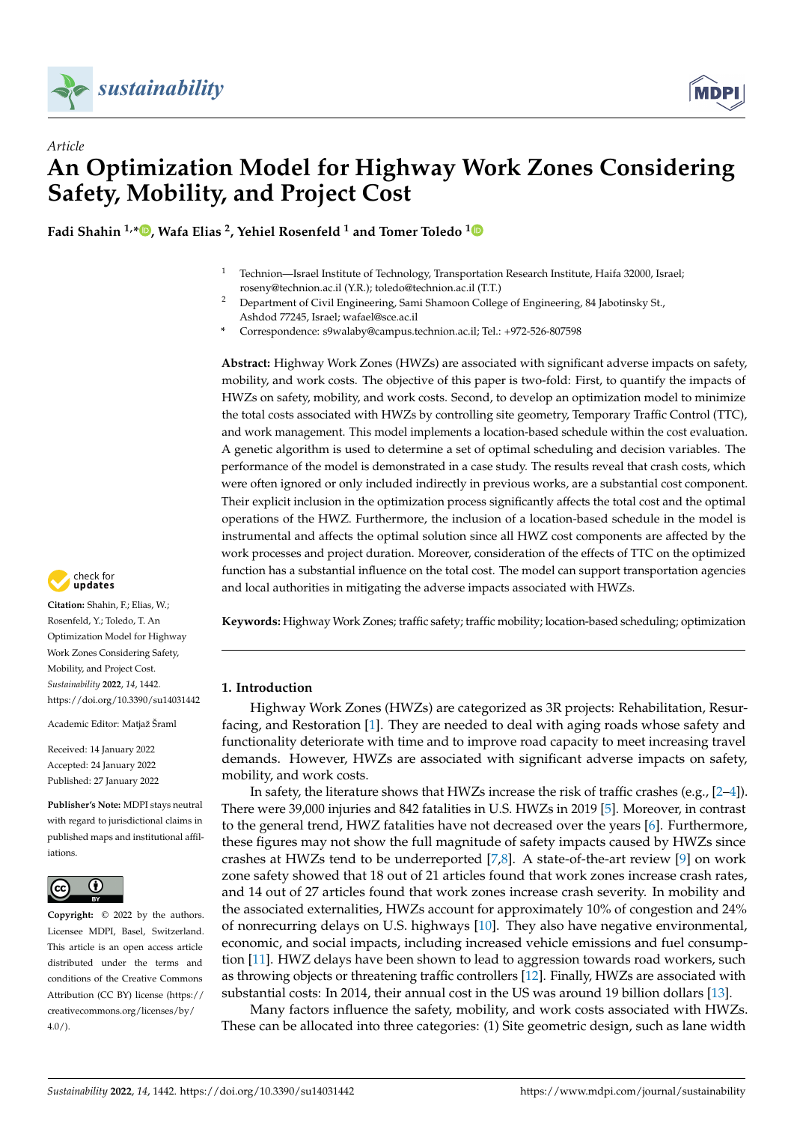

# *Article* **An Optimization Model for Highway Work Zones Considering Safety, Mobility, and Project Cost**

**Fadi Shahin 1,[\\*](https://orcid.org/0000-0002-1304-0728) , Wafa Elias <sup>2</sup> , Yehiel Rosenfeld <sup>1</sup> and Tomer Toledo [1](https://orcid.org/0000-0003-3611-6024)**

- <sup>1</sup> Technion—Israel Institute of Technology, Transportation Research Institute, Haifa 32000, Israel; roseny@technion.ac.il (Y.R.); toledo@technion.ac.il (T.T.)
- <sup>2</sup> Department of Civil Engineering, Sami Shamoon College of Engineering, 84 Jabotinsky St., Ashdod 77245, Israel; wafael@sce.ac.il
- **\*** Correspondence: s9walaby@campus.technion.ac.il; Tel.: +972-526-807598

**Abstract:** Highway Work Zones (HWZs) are associated with significant adverse impacts on safety, mobility, and work costs. The objective of this paper is two-fold: First, to quantify the impacts of HWZs on safety, mobility, and work costs. Second, to develop an optimization model to minimize the total costs associated with HWZs by controlling site geometry, Temporary Traffic Control (TTC), and work management. This model implements a location-based schedule within the cost evaluation. A genetic algorithm is used to determine a set of optimal scheduling and decision variables. The performance of the model is demonstrated in a case study. The results reveal that crash costs, which were often ignored or only included indirectly in previous works, are a substantial cost component. Their explicit inclusion in the optimization process significantly affects the total cost and the optimal operations of the HWZ. Furthermore, the inclusion of a location-based schedule in the model is instrumental and affects the optimal solution since all HWZ cost components are affected by the work processes and project duration. Moreover, consideration of the effects of TTC on the optimized function has a substantial influence on the total cost. The model can support transportation agencies and local authorities in mitigating the adverse impacts associated with HWZs.

**Keywords:** Highway Work Zones; traffic safety; traffic mobility; location-based scheduling; optimization

# **1. Introduction**

Highway Work Zones (HWZs) are categorized as 3R projects: Rehabilitation, Resurfacing, and Restoration [\[1\]](#page-15-0). They are needed to deal with aging roads whose safety and functionality deteriorate with time and to improve road capacity to meet increasing travel demands. However, HWZs are associated with significant adverse impacts on safety, mobility, and work costs.

In safety, the literature shows that HWZs increase the risk of traffic crashes (e.g., [\[2](#page-15-1)[–4\]](#page-15-2)). There were 39,000 injuries and 842 fatalities in U.S. HWZs in 2019 [\[5\]](#page-15-3). Moreover, in contrast to the general trend, HWZ fatalities have not decreased over the years [\[6\]](#page-15-4). Furthermore, these figures may not show the full magnitude of safety impacts caused by HWZs since crashes at HWZs tend to be underreported [\[7](#page-15-5)[,8\]](#page-16-0). A state-of-the-art review [\[9\]](#page-16-1) on work zone safety showed that 18 out of 21 articles found that work zones increase crash rates, and 14 out of 27 articles found that work zones increase crash severity. In mobility and the associated externalities, HWZs account for approximately 10% of congestion and 24% of nonrecurring delays on U.S. highways [\[10\]](#page-16-2). They also have negative environmental, economic, and social impacts, including increased vehicle emissions and fuel consumption [\[11\]](#page-16-3). HWZ delays have been shown to lead to aggression towards road workers, such as throwing objects or threatening traffic controllers [\[12\]](#page-16-4). Finally, HWZs are associated with substantial costs: In 2014, their annual cost in the US was around 19 billion dollars [\[13\]](#page-16-5).

Many factors influence the safety, mobility, and work costs associated with HWZs. These can be allocated into three categories: (1) Site geometric design, such as lane width



**Citation:** Shahin, F.; Elias, W.; Rosenfeld, Y.; Toledo, T. An Optimization Model for Highway Work Zones Considering Safety, Mobility, and Project Cost. *Sustainability* **2022**, *14*, 1442. <https://doi.org/10.3390/su14031442>

Academic Editor: Matjaž Šraml

Received: 14 January 2022 Accepted: 24 January 2022 Published: 27 January 2022

**Publisher's Note:** MDPI stays neutral with regard to jurisdictional claims in published maps and institutional affiliations.



**Copyright:** © 2022 by the authors. Licensee MDPI, Basel, Switzerland. This article is an open access article distributed under the terms and conditions of the Creative Commons Attribution (CC BY) license [\(https://](https://creativecommons.org/licenses/by/4.0/) [creativecommons.org/licenses/by/](https://creativecommons.org/licenses/by/4.0/)  $4.0/$ ).

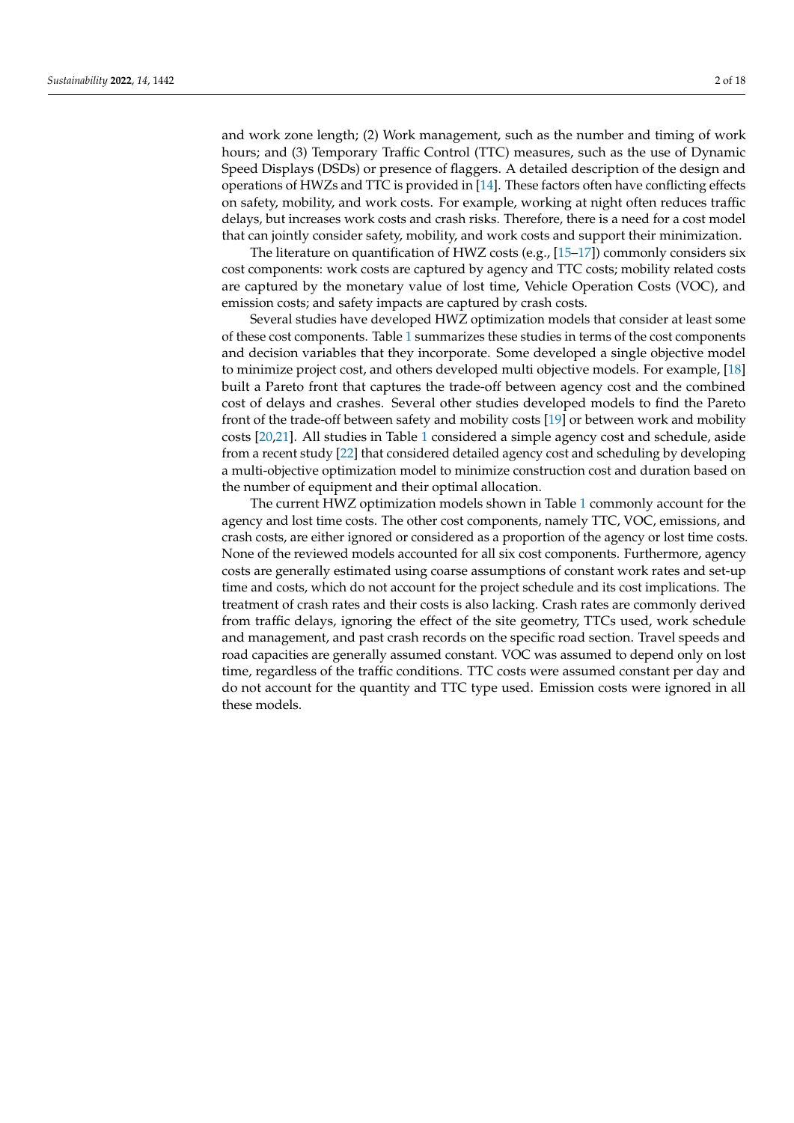and work zone length; (2) Work management, such as the number and timing of work hours; and (3) Temporary Traffic Control (TTC) measures, such as the use of Dynamic Speed Displays (DSDs) or presence of flaggers. A detailed description of the design and operations of HWZs and TTC is provided in [\[14\]](#page-16-6). These factors often have conflicting effects on safety, mobility, and work costs. For example, working at night often reduces traffic delays, but increases work costs and crash risks. Therefore, there is a need for a cost model that can jointly consider safety, mobility, and work costs and support their minimization.

The literature on quantification of HWZ costs (e.g., [\[15](#page-16-7)[–17\]](#page-16-8)) commonly considers six cost components: work costs are captured by agency and TTC costs; mobility related costs are captured by the monetary value of lost time, Vehicle Operation Costs (VOC), and emission costs; and safety impacts are captured by crash costs.

Several studies have developed HWZ optimization models that consider at least some of these cost components. Table [1](#page-2-0) summarizes these studies in terms of the cost components and decision variables that they incorporate. Some developed a single objective model to minimize project cost, and others developed multi objective models. For example, [\[18\]](#page-16-9) built a Pareto front that captures the trade-off between agency cost and the combined cost of delays and crashes. Several other studies developed models to find the Pareto front of the trade-off between safety and mobility costs [\[19\]](#page-16-10) or between work and mobility costs [\[20](#page-16-11)[,21\]](#page-16-12). All studies in Table [1](#page-2-0) considered a simple agency cost and schedule, aside from a recent study [\[22\]](#page-16-13) that considered detailed agency cost and scheduling by developing a multi-objective optimization model to minimize construction cost and duration based on the number of equipment and their optimal allocation.

The current HWZ optimization models shown in Table [1](#page-2-0) commonly account for the agency and lost time costs. The other cost components, namely TTC, VOC, emissions, and crash costs, are either ignored or considered as a proportion of the agency or lost time costs. None of the reviewed models accounted for all six cost components. Furthermore, agency costs are generally estimated using coarse assumptions of constant work rates and set-up time and costs, which do not account for the project schedule and its cost implications. The treatment of crash rates and their costs is also lacking. Crash rates are commonly derived from traffic delays, ignoring the effect of the site geometry, TTCs used, work schedule and management, and past crash records on the specific road section. Travel speeds and road capacities are generally assumed constant. VOC was assumed to depend only on lost time, regardless of the traffic conditions. TTC costs were assumed constant per day and do not account for the quantity and TTC type used. Emission costs were ignored in all these models.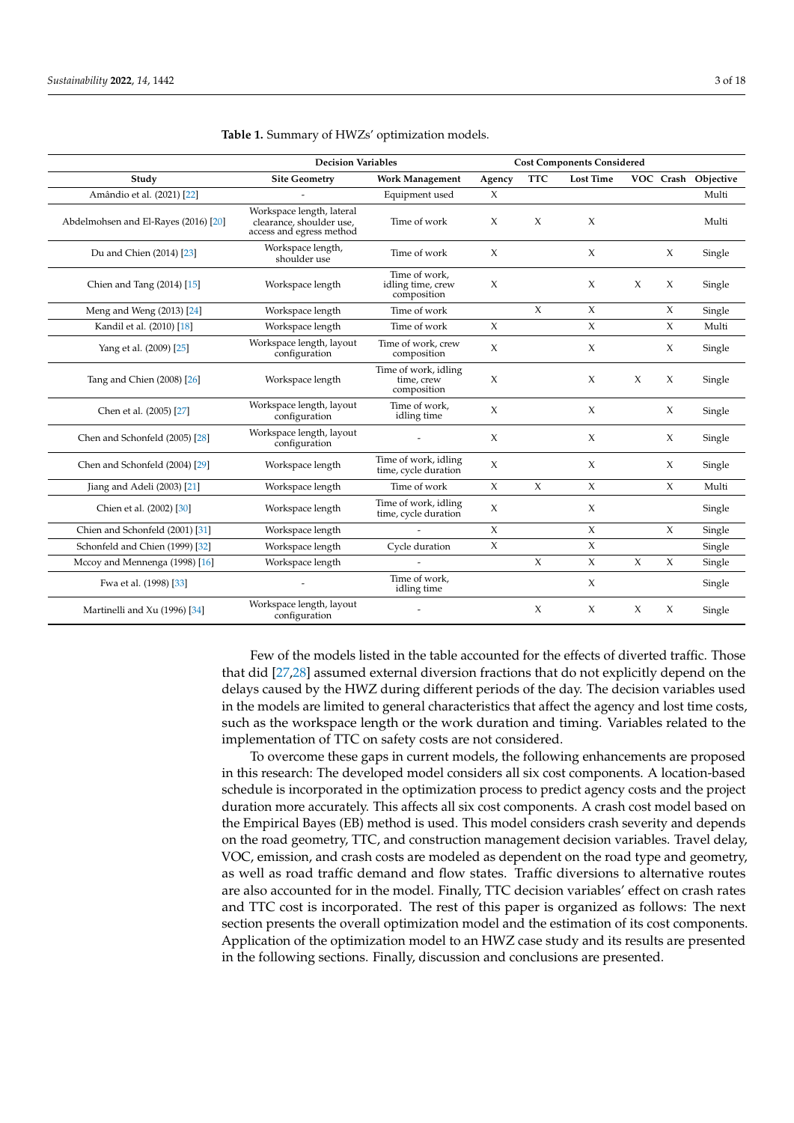|                                      | <b>Decision Variables</b>                                                         |                                                   | <b>Cost Components Considered</b> |            |                  |        |        |                     |
|--------------------------------------|-----------------------------------------------------------------------------------|---------------------------------------------------|-----------------------------------|------------|------------------|--------|--------|---------------------|
| Study                                | <b>Site Geometry</b>                                                              | <b>Work Management</b>                            | Agency                            | <b>TTC</b> | <b>Lost Time</b> |        |        | VOC Crash Objective |
| Amândio et al. (2021) [22]           |                                                                                   | Equipment used                                    | $\chi$                            |            |                  |        |        | Multi               |
| Abdelmohsen and El-Rayes (2016) [20] | Workspace length, lateral<br>clearance, shoulder use,<br>access and egress method | Time of work                                      | $\chi$                            | $\chi$     | $\chi$           |        |        | Multi               |
| Du and Chien (2014) [23]             | Workspace length,<br>shoulder use                                                 | Time of work                                      | $\chi$                            |            | $\chi$           |        | $\chi$ | Single              |
| Chien and Tang (2014) [15]           | Workspace length                                                                  | Time of work.<br>idling time, crew<br>composition | $\chi$                            |            | $\chi$           | $\chi$ | X      | Single              |
| Meng and Weng (2013) [24]            | Workspace length                                                                  | Time of work                                      |                                   | $\chi$     | $\chi$           |        | $\chi$ | Single              |
| Kandil et al. (2010) [18]            | Workspace length                                                                  | Time of work                                      | $\chi$                            |            | $\chi$           |        | $\chi$ | Multi               |
| Yang et al. (2009) [25]              | Workspace length, layout<br>configuration                                         | Time of work, crew<br>composition                 | $\chi$                            |            | $\chi$           |        | $\chi$ | Single              |
| Tang and Chien (2008) [26]           | Workspace length                                                                  | Time of work, idling<br>time, crew<br>composition | $\chi$                            |            | $\chi$           | X      | $\chi$ | Single              |
| Chen et al. (2005) [27]              | Workspace length, layout<br>configuration                                         | Time of work,<br>idling time                      | $\chi$                            |            | X                |        | $\chi$ | Single              |
| Chen and Schonfeld (2005) [28]       | Workspace length, layout<br>configuration                                         |                                                   | $\chi$                            |            | $\chi$           |        | $\chi$ | Single              |
| Chen and Schonfeld (2004) [29]       | Workspace length                                                                  | Time of work, idling<br>time, cycle duration      | $\chi$                            |            | $\chi$           |        | $\chi$ | Single              |
| Jiang and Adeli $(2003)$ $[21]$      | Workspace length                                                                  | Time of work                                      | $\chi$                            | $\chi$     | $\chi$           |        | $\chi$ | Multi               |
| Chien et al. (2002) [30]             | Workspace length                                                                  | Time of work, idling<br>time, cycle duration      | $\chi$                            |            | X                |        |        | Single              |
| Chien and Schonfeld (2001) [31]      | Workspace length                                                                  |                                                   | $\chi$                            |            | $\chi$           |        | $\chi$ | Single              |
| Schonfeld and Chien (1999) [32]      | Workspace length                                                                  | Cycle duration                                    | $\chi$                            |            | $\chi$           |        |        | Single              |
| Mccoy and Mennenga (1998) [16]       | Workspace length                                                                  |                                                   |                                   | $\chi$     | $\chi$           | $\chi$ | $\chi$ | Single              |
| Fwa et al. (1998) [33]               |                                                                                   | Time of work.<br>idling time                      |                                   |            | $\chi$           |        |        | Single              |
| Martinelli and Xu (1996) [34]        | Workspace length, layout<br>configuration                                         |                                                   |                                   | $\chi$     | $\chi$           | $\chi$ | X      | Single              |

#### <span id="page-2-0"></span>**Table 1.** Summary of HWZs' optimization models.

Few of the models listed in the table accounted for the effects of diverted traffic. Those that did [\[27,](#page-16-18)[28\]](#page-16-19) assumed external diversion fractions that do not explicitly depend on the delays caused by the HWZ during different periods of the day. The decision variables used in the models are limited to general characteristics that affect the agency and lost time costs, such as the workspace length or the work duration and timing. Variables related to the implementation of TTC on safety costs are not considered.

To overcome these gaps in current models, the following enhancements are proposed in this research: The developed model considers all six cost components. A location-based schedule is incorporated in the optimization process to predict agency costs and the project duration more accurately. This affects all six cost components. A crash cost model based on the Empirical Bayes (EB) method is used. This model considers crash severity and depends on the road geometry, TTC, and construction management decision variables. Travel delay, VOC, emission, and crash costs are modeled as dependent on the road type and geometry, as well as road traffic demand and flow states. Traffic diversions to alternative routes are also accounted for in the model. Finally, TTC decision variables' effect on crash rates and TTC cost is incorporated. The rest of this paper is organized as follows: The next section presents the overall optimization model and the estimation of its cost components. Application of the optimization model to an HWZ case study and its results are presented in the following sections. Finally, discussion and conclusions are presented.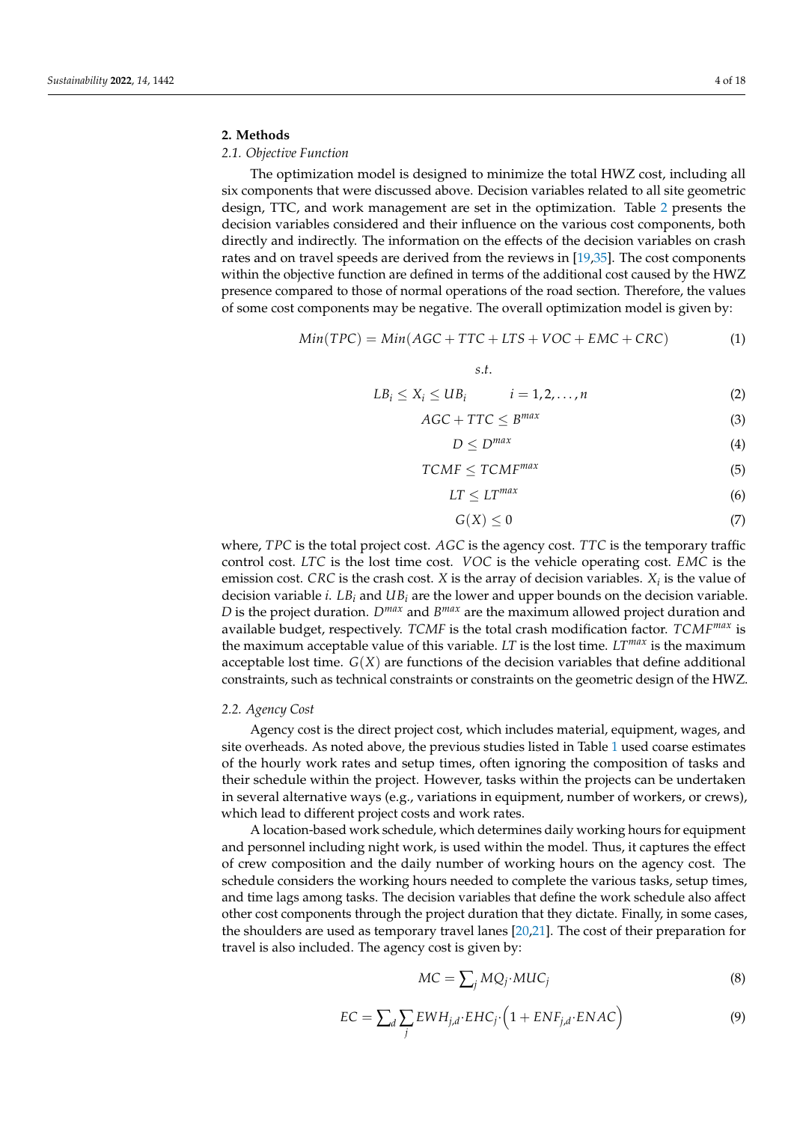# **2. Methods**

# *2.1. Objective Function*

The optimization model is designed to minimize the total HWZ cost, including all six components that were discussed above. Decision variables related to all site geometric design, TTC, and work management are set in the optimization. Table [2](#page-4-0) presents the decision variables considered and their influence on the various cost components, both directly and indirectly. The information on the effects of the decision variables on crash rates and on travel speeds are derived from the reviews in [\[19](#page-16-10)[,35\]](#page-16-27). The cost components within the objective function are defined in terms of the additional cost caused by the HWZ presence compared to those of normal operations of the road section. Therefore, the values of some cost components may be negative. The overall optimization model is given by:

$$
Min(TPC) = Min(AGC + TTC + LTS + VOC + EMC + CRC)
$$
 (1)

*s*.*t*.

$$
LB_i \le X_i \le UB_i \qquad i = 1, 2, \dots, n \tag{2}
$$

$$
AGC + TTC \leq B^{max} \tag{3}
$$

$$
D \le D^{max} \tag{4}
$$

$$
TCMF \leq TCMF^{max} \tag{5}
$$

$$
LT \le LT^{max} \tag{6}
$$

$$
G(X) \le 0 \tag{7}
$$

where, *TPC* is the total project cost. *AGC* is the agency cost. *TTC* is the temporary traffic control cost. *LTC* is the lost time cost. *VOC* is the vehicle operating cost. *EMC* is the emission cost. *CRC* is the crash cost. *X* is the array of decision variables. *X<sup>i</sup>* is the value of decision variable *i*. *LB<sup>i</sup>* and *UB<sup>i</sup>* are the lower and upper bounds on the decision variable. *D* is the project duration. *Dmax* and *B max* are the maximum allowed project duration and available budget, respectively. *TCMF* is the total crash modification factor. *TCMFmax* is the maximum acceptable value of this variable. *LT* is the lost time. *LTmax* is the maximum acceptable lost time. *G*(*X*) are functions of the decision variables that define additional constraints, such as technical constraints or constraints on the geometric design of the HWZ.

### *2.2. Agency Cost*

Agency cost is the direct project cost, which includes material, equipment, wages, and site overheads. As noted above, the previous studies listed in Table [1](#page-2-0) used coarse estimates of the hourly work rates and setup times, often ignoring the composition of tasks and their schedule within the project. However, tasks within the projects can be undertaken in several alternative ways (e.g., variations in equipment, number of workers, or crews), which lead to different project costs and work rates.

A location-based work schedule, which determines daily working hours for equipment and personnel including night work, is used within the model. Thus, it captures the effect of crew composition and the daily number of working hours on the agency cost. The schedule considers the working hours needed to complete the various tasks, setup times, and time lags among tasks. The decision variables that define the work schedule also affect other cost components through the project duration that they dictate. Finally, in some cases, the shoulders are used as temporary travel lanes [\[20](#page-16-11)[,21\]](#page-16-12). The cost of their preparation for travel is also included. The agency cost is given by:

$$
MC = \sum_{j} MQ_j \cdot MUC_j \tag{8}
$$

$$
EC = \sum_{d} \sum_{j} EWH_{j,d} \cdot EHC_j \cdot \left(1 + ENF_{j,d} \cdot ENAC\right)
$$
 (9)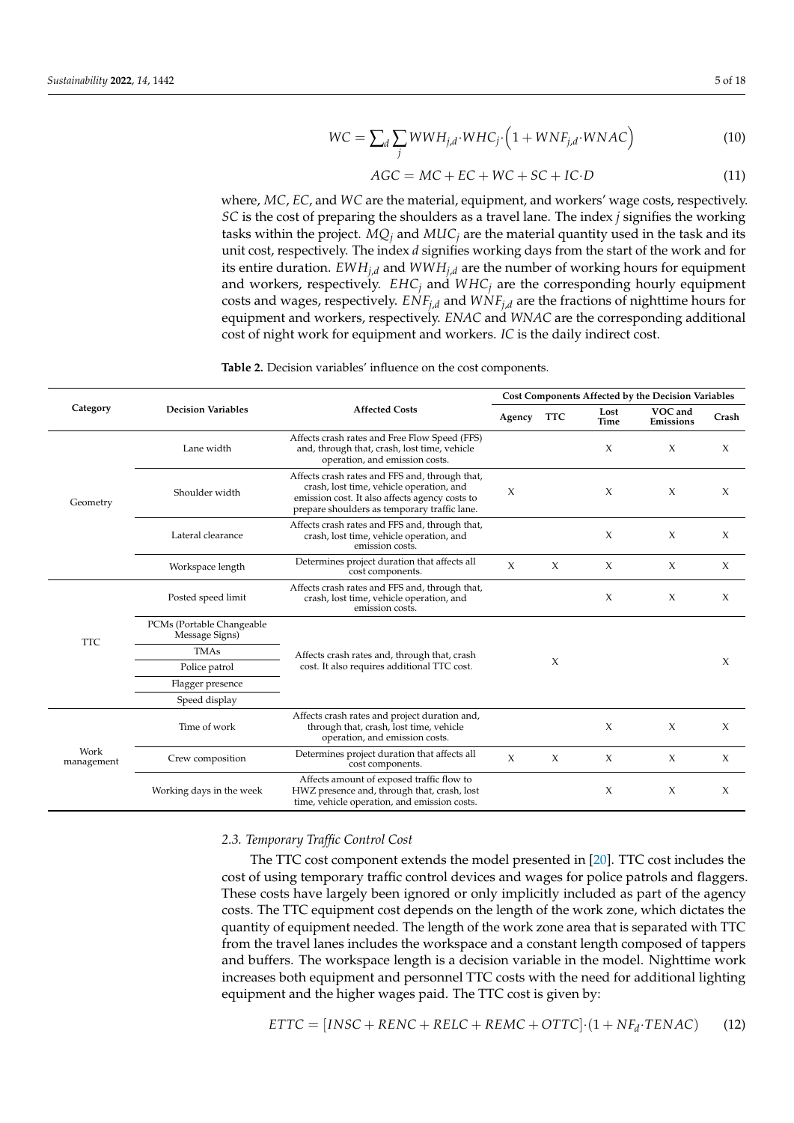$$
WC = \sum_{d} \sum_{j} WWH_{j,d} \cdot WHC_j \cdot \left(1 + WNF_{j,d} \cdot WNAC\right) \tag{10}
$$

$$
AGC = MC + EC + WC + SC + IC \cdot D \tag{11}
$$

where, *MC*, *EC*, and *WC* are the material, equipment, and workers' wage costs, respectively. *SC* is the cost of preparing the shoulders as a travel lane. The index *j* signifies the working tasks within the project.  $MQ_j$  and  $MUC_j$  are the material quantity used in the task and its unit cost, respectively. The index *d* signifies working days from the start of the work and for its entire duration. *EWHj*,*<sup>d</sup>* and *WWHj*,*<sup>d</sup>* are the number of working hours for equipment and workers, respectively.  $EHC_i$  and  $WHC_j$  are the corresponding hourly equipment costs and wages, respectively.  $ENF_{i,d}$  and  $WNF_{i,d}$  are the fractions of nighttime hours for equipment and workers, respectively. *ENAC* and *WNAC* are the corresponding additional cost of night work for equipment and workers. *IC* is the daily indirect cost.

| Category           |                                             |                                                                                                                                                                                              | Cost Components Affected by the Decision Variables |            |              |                      |        |  |
|--------------------|---------------------------------------------|----------------------------------------------------------------------------------------------------------------------------------------------------------------------------------------------|----------------------------------------------------|------------|--------------|----------------------|--------|--|
|                    | <b>Decision Variables</b>                   | <b>Affected Costs</b>                                                                                                                                                                        | Agency                                             | <b>TTC</b> | Lost<br>Time | VOC and<br>Emissions | Crash  |  |
| Geometry           | Lane width                                  | Affects crash rates and Free Flow Speed (FFS)<br>and, through that, crash, lost time, vehicle<br>operation, and emission costs.                                                              |                                                    |            | $\chi$       | $\chi$               | $\chi$ |  |
|                    | Shoulder width                              | Affects crash rates and FFS and, through that,<br>crash, lost time, vehicle operation, and<br>emission cost. It also affects agency costs to<br>prepare shoulders as temporary traffic lane. | X                                                  |            | $\chi$       | $\chi$               | $\chi$ |  |
|                    | Lateral clearance                           | Affects crash rates and FFS and, through that,<br>crash, lost time, vehicle operation, and<br>emission costs.                                                                                |                                                    |            | X            | X                    | $\chi$ |  |
|                    | Workspace length                            | Determines project duration that affects all<br>cost components.                                                                                                                             | $\chi$                                             | $\chi$     | $\chi$       | $\chi$               | $\chi$ |  |
| <b>TTC</b>         | Posted speed limit                          | Affects crash rates and FFS and, through that,<br>crash, lost time, vehicle operation, and<br>emission costs.                                                                                |                                                    |            | $\chi$       | $\chi$               | $\chi$ |  |
|                    | PCMs (Portable Changeable<br>Message Signs) |                                                                                                                                                                                              |                                                    |            |              |                      |        |  |
|                    | <b>TMAs</b>                                 | Affects crash rates and, through that, crash                                                                                                                                                 |                                                    | X          |              |                      |        |  |
|                    | Police patrol                               | cost. It also requires additional TTC cost.                                                                                                                                                  |                                                    |            |              |                      | $\chi$ |  |
|                    | Flagger presence                            |                                                                                                                                                                                              |                                                    |            |              |                      |        |  |
|                    | Speed display                               |                                                                                                                                                                                              |                                                    |            |              |                      |        |  |
| Work<br>management | Time of work                                | Affects crash rates and project duration and,<br>through that, crash, lost time, vehicle<br>operation, and emission costs.                                                                   |                                                    |            | $\chi$       | $\chi$               | $\chi$ |  |
|                    | Crew composition                            | Determines project duration that affects all<br>cost components.                                                                                                                             | $\chi$                                             | $\chi$     | X            | $\chi$               | X      |  |
|                    | Working days in the week                    | Affects amount of exposed traffic flow to<br>HWZ presence and, through that, crash, lost<br>time, vehicle operation, and emission costs.                                                     |                                                    |            | $\chi$       | $\boldsymbol{\chi}$  | $\chi$ |  |

<span id="page-4-0"></span>**Table 2.** Decision variables' influence on the cost components.

## *2.3. Temporary Traffic Control Cost*

The TTC cost component extends the model presented in [\[20\]](#page-16-11). TTC cost includes the cost of using temporary traffic control devices and wages for police patrols and flaggers. These costs have largely been ignored or only implicitly included as part of the agency costs. The TTC equipment cost depends on the length of the work zone, which dictates the quantity of equipment needed. The length of the work zone area that is separated with TTC from the travel lanes includes the workspace and a constant length composed of tappers and buffers. The workspace length is a decision variable in the model. Nighttime work increases both equipment and personnel TTC costs with the need for additional lighting equipment and the higher wages paid. The TTC cost is given by:

$$
ETTC = [INSC + RENC + RELC + REMC + OTTC] \cdot (1 + NF_d \cdot TENAC)
$$
 (12)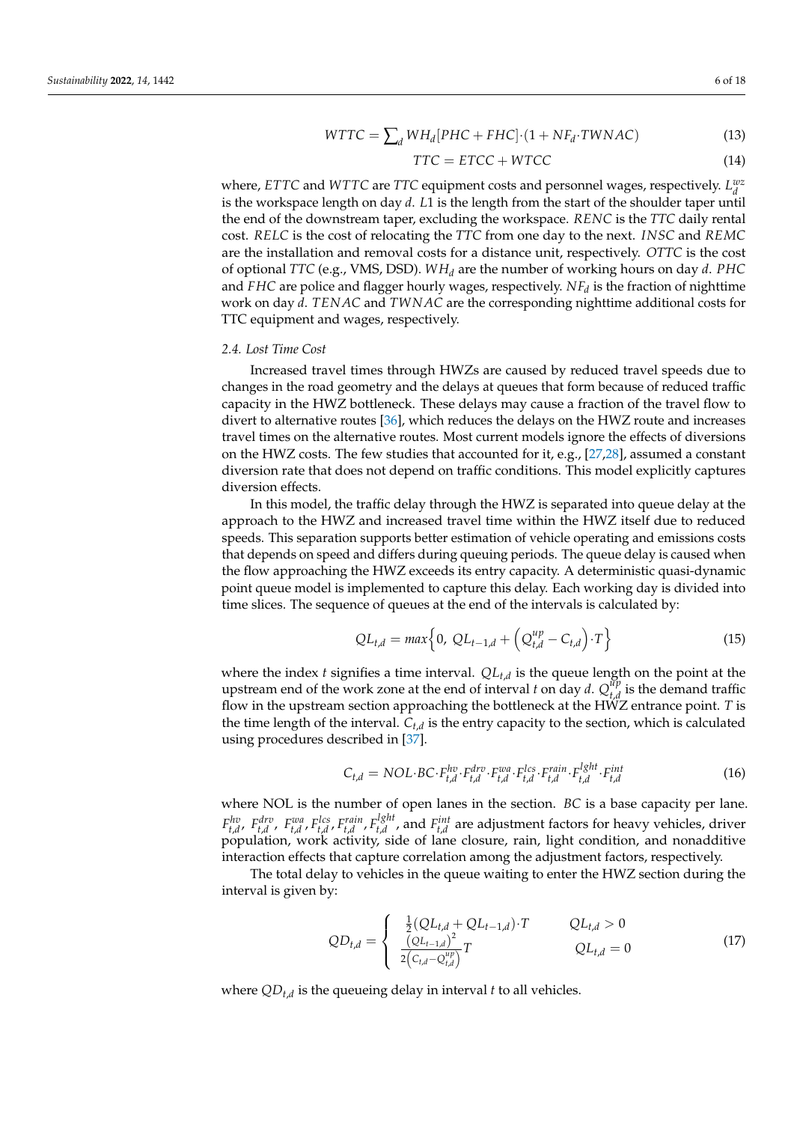$$
WTTC = \sum_{d} WH_d[PHC + FHC] \cdot (1 + NF_d \cdot TWNAC)
$$
\n(13)

$$
TTC = ETCC + WTCC \tag{14}
$$

where, *ETTC* and *WTTC* are *TTC* equipment costs and personnel wages, respectively.  $L_d^{wz}$ is the workspace length on day *d*. *L*1 is the length from the start of the shoulder taper until the end of the downstream taper, excluding the workspace. *RENC* is the *TTC* daily rental cost. *RELC* is the cost of relocating the *TTC* from one day to the next. *INSC* and *REMC* are the installation and removal costs for a distance unit, respectively. *OTTC* is the cost of optional *TTC* (e.g., VMS, DSD). *WH<sup>d</sup>* are the number of working hours on day *d*. *PHC* and *FHC* are police and flagger hourly wages, respectively. *NF<sup>d</sup>* is the fraction of nighttime work on day *d*. *TENAC* and *TWNAC* are the corresponding nighttime additional costs for TTC equipment and wages, respectively.

# *2.4. Lost Time Cost*

Increased travel times through HWZs are caused by reduced travel speeds due to changes in the road geometry and the delays at queues that form because of reduced traffic capacity in the HWZ bottleneck. These delays may cause a fraction of the travel flow to divert to alternative routes [\[36\]](#page-16-28), which reduces the delays on the HWZ route and increases travel times on the alternative routes. Most current models ignore the effects of diversions on the HWZ costs. The few studies that accounted for it, e.g., [\[27](#page-16-18)[,28\]](#page-16-19), assumed a constant diversion rate that does not depend on traffic conditions. This model explicitly captures diversion effects.

In this model, the traffic delay through the HWZ is separated into queue delay at the approach to the HWZ and increased travel time within the HWZ itself due to reduced speeds. This separation supports better estimation of vehicle operating and emissions costs that depends on speed and differs during queuing periods. The queue delay is caused when the flow approaching the HWZ exceeds its entry capacity. A deterministic quasi-dynamic point queue model is implemented to capture this delay. Each working day is divided into time slices. The sequence of queues at the end of the intervals is calculated by:

$$
QL_{t,d} = max\Big\{0, \; QL_{t-1,d} + \Big(Q_{t,d}^{up} - C_{t,d}\Big) \cdot T\Big\}
$$
 (15)

where the index *t* signifies a time interval. *QLt*,*<sup>d</sup>* is the queue length on the point at the upstream end of the work zone at the end of interval *t* on day *d*.  $Q_{t,d}^{up}$  $\int_{t,d}^{\mu \nu}$  is the demand traffic flow in the upstream section approaching the bottleneck at the HWZ entrance point. *T* is the time length of the interval. *Ct*,*<sup>d</sup>* is the entry capacity to the section, which is calculated using procedures described in [\[37\]](#page-16-29).

$$
C_{t,d} = NOL \cdot BC \cdot F_{t,d}^{hv} \cdot F_{t,d}^{dv} \cdot F_{t,d}^{wa} \cdot F_{t,d}^{lcs} \cdot F_{t,d}^{rain} \cdot F_{t,d}^{lSht} \cdot F_{t,d}^{int}
$$
(16)

where NOL is the number of open lanes in the section. *BC* is a base capacity per lane. *Fhv*, *Fdrv*, *Fwa*, *Flcs*, *Frain*, *F<sup>lght</sup>*, *d*, *f*<sub>t,*d*</sub>, *f*<sub>*f*</sub>, *d*  $t_{t,d}^{l}$ , and  $F_{t,d}^{int}$  are adjustment factors for heavy vehicles, driver population, work activity, side of lane closure, rain, light condition, and nonadditive interaction effects that capture correlation among the adjustment factors, respectively.

The total delay to vehicles in the queue waiting to enter the HWZ section during the interval is given by:

$$
QD_{t,d} = \begin{cases} \frac{1}{2}(QL_{t,d} + Q_{t-1,d}) \cdot T & Q_{t,d} > 0\\ \frac{(QL_{t-1,d})^2}{2(C_{t,d} - Q_{t,d}^{up})} T & Q_{t,d} = 0 \end{cases}
$$
(17)

where *QDt*,*<sup>d</sup>* is the queueing delay in interval *t* to all vehicles.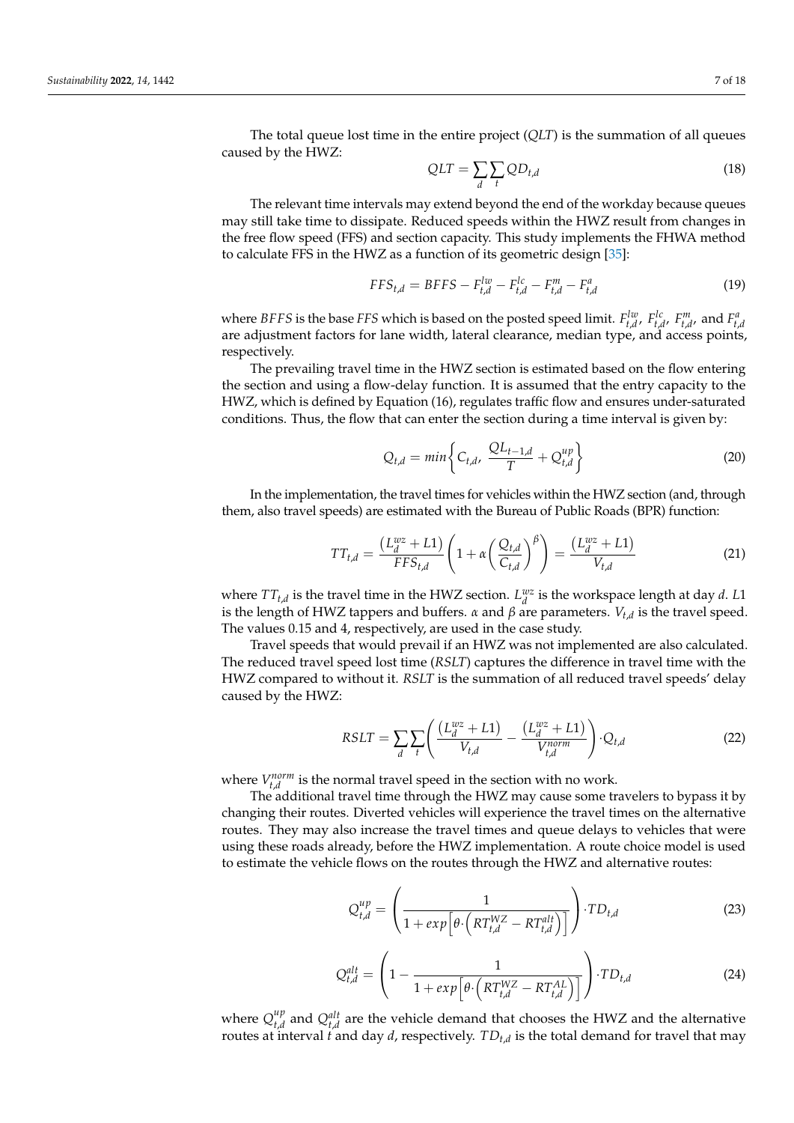The total queue lost time in the entire project (*QLT*) is the summation of all queues caused by the HWZ:

$$
QLT = \sum_{d} \sum_{t} QD_{t,d} \tag{18}
$$

The relevant time intervals may extend beyond the end of the workday because queues may still take time to dissipate. Reduced speeds within the HWZ result from changes in the free flow speed (FFS) and section capacity. This study implements the FHWA method to calculate FFS in the HWZ as a function of its geometric design [\[35\]](#page-16-27):

$$
FFS_{t,d} = BFFS - F_{t,d}^{lw} - F_{t,d}^{lc} - F_{t,d}^{m} - F_{t,d}^{a}
$$
\n(19)

where *BFFS* is the base *FFS* which is based on the posted speed limit.  $F_{t,d}^{lw}$ ,  $F_{t,d'}^{lc}$ ,  $F_{t,d'}^m$  and  $F_{t,d}^a$ are adjustment factors for lane width, lateral clearance, median type, and access points, respectively.

The prevailing travel time in the HWZ section is estimated based on the flow entering the section and using a flow-delay function. It is assumed that the entry capacity to the HWZ, which is defined by Equation (16), regulates traffic flow and ensures under-saturated conditions. Thus, the flow that can enter the section during a time interval is given by:

$$
Q_{t,d} = min \left\{ C_{t,d}, \frac{QL_{t-1,d}}{T} + Q_{t,d}^{up} \right\}
$$
 (20)

In the implementation, the travel times for vehicles within the HWZ section (and, through them, also travel speeds) are estimated with the Bureau of Public Roads (BPR) function:

$$
TT_{t,d} = \frac{\left(L_d^{wz} + L1\right)}{FFS_{t,d}} \left(1 + \alpha \left(\frac{Q_{t,d}}{C_{t,d}}\right)^{\beta}\right) = \frac{\left(L_d^{wz} + L1\right)}{V_{t,d}}
$$
(21)

where  $TT_{t,d}$  is the travel time in the HWZ section.  $L_d^{wz}$  is the workspace length at day *d*. *L*1 is the length of HWZ tappers and buffers. *α* and *β* are parameters. *Vt*,*<sup>d</sup>* is the travel speed. The values 0.15 and 4, respectively, are used in the case study.

Travel speeds that would prevail if an HWZ was not implemented are also calculated. The reduced travel speed lost time (*RSLT*) captures the difference in travel time with the HWZ compared to without it. *RSLT* is the summation of all reduced travel speeds' delay caused by the HWZ:

$$
RSLT = \sum_{d} \sum_{t} \left( \frac{\left(L_d^{wz} + L1\right)}{V_{t,d}} - \frac{\left(L_d^{wz} + L1\right)}{V_{t,d}^{norm}} \right) \cdot Q_{t,d} \tag{22}
$$

where  $V_{t,d}^{norm}$  is the normal travel speed in the section with no work.

The additional travel time through the HWZ may cause some travelers to bypass it by changing their routes. Diverted vehicles will experience the travel times on the alternative routes. They may also increase the travel times and queue delays to vehicles that were using these roads already, before the HWZ implementation. A route choice model is used to estimate the vehicle flows on the routes through the HWZ and alternative routes:

$$
Q_{t,d}^{up} = \left(\frac{1}{1 + exp\left[\theta \cdot \left(RT_{t,d}^{WZ} - RT_{t,d}^{alt}\right)\right]}\right) \cdot TD_{t,d}
$$
\n(23)

$$
Q_{t,d}^{alt} = \left(1 - \frac{1}{1 + exp\left[\theta \cdot \left(RT_{t,d}^{WZ} - RT_{t,d}^{AL}\right)\right]}\right) \cdot TD_{t,d}
$$
\n(24)

where  $Q_{t,d}^{up}$  $t_{t,d}$  and  $Q_{t,d}^{alt}$  are the vehicle demand that chooses the HWZ and the alternative routes at interval *t* and day *d*, respectively. *TDt*,*<sup>d</sup>* is the total demand for travel that may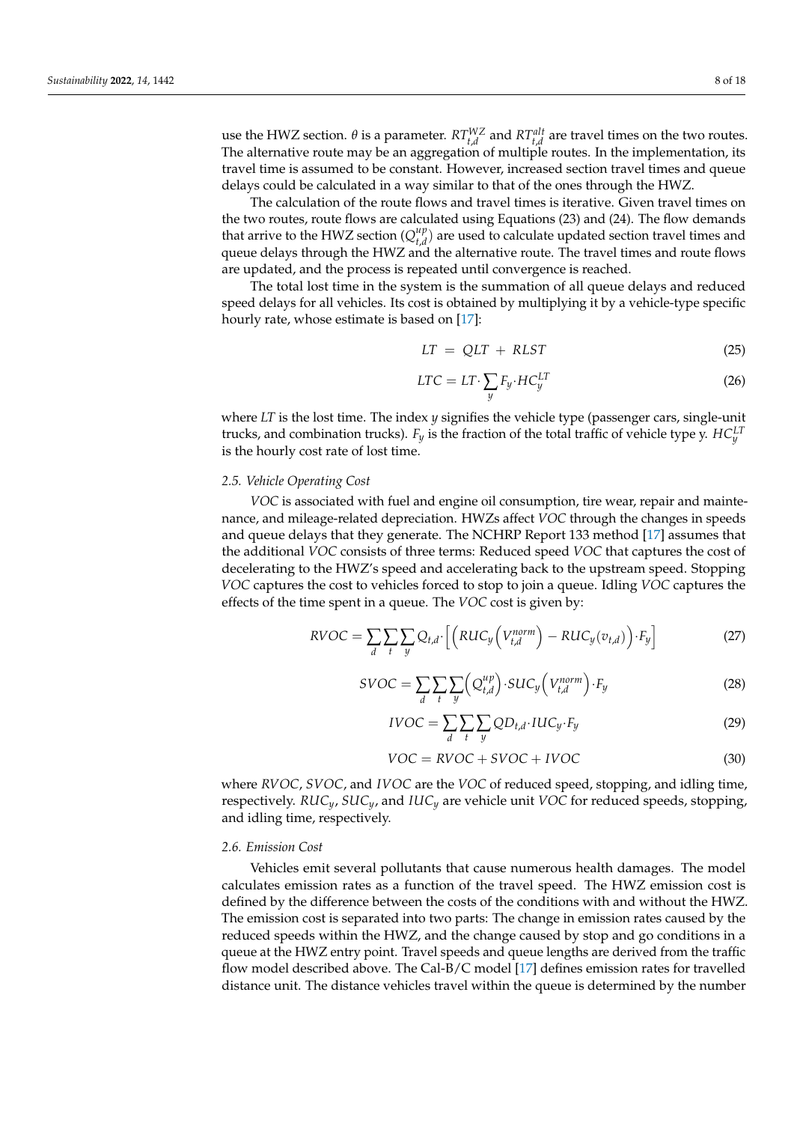use the HWZ section.  $\theta$  is a parameter.  $RT_{t,d}^{WZ}$  and  $RT_{t,d}^{alt}$  are travel times on the two routes. The alternative route may be an aggregation of multiple routes. In the implementation, its travel time is assumed to be constant. However, increased section travel times and queue delays could be calculated in a way similar to that of the ones through the HWZ.

The calculation of the route flows and travel times is iterative. Given travel times on the two routes, route flows are calculated using Equations (23) and (24). The flow demands that arrive to the HWZ section ( $Q_{t,d}^{up}$  $t_{t,d}^{up}$ ) are used to calculate updated section travel times and queue delays through the HWZ and the alternative route. The travel times and route flows are updated, and the process is repeated until convergence is reached.

The total lost time in the system is the summation of all queue delays and reduced speed delays for all vehicles. Its cost is obtained by multiplying it by a vehicle-type specific hourly rate, whose estimate is based on [\[17\]](#page-16-8):

$$
LT = QLT + RLST \tag{25}
$$

$$
LTC = LT \cdot \sum_{y} F_{y} \cdot HC_{y}^{LT} \tag{26}
$$

where *LT* is the lost time. The index *y* signifies the vehicle type (passenger cars, single-unit trucks, and combination trucks). *F<sup>y</sup>* is the fraction of the total traffic of vehicle type y. *HCLT y* is the hourly cost rate of lost time.

#### *2.5. Vehicle Operating Cost*

*VOC* is associated with fuel and engine oil consumption, tire wear, repair and maintenance, and mileage-related depreciation. HWZs affect *VOC* through the changes in speeds and queue delays that they generate. The NCHRP Report 133 method [\[17\]](#page-16-8) assumes that the additional *VOC* consists of three terms: Reduced speed *VOC* that captures the cost of decelerating to the HWZ's speed and accelerating back to the upstream speed. Stopping *VOC* captures the cost to vehicles forced to stop to join a queue. Idling *VOC* captures the effects of the time spent in a queue. The *VOC* cost is given by:

$$
RVOC = \sum_{d} \sum_{t} \sum_{y} Q_{t,d} \cdot \left[ \left( RUC_y \left( V_{t,d}^{norm} \right) - RUC_y(v_{t,d}) \right) \cdot F_y \right] \tag{27}
$$

$$
SVOC = \sum_{d} \sum_{t} \sum_{y} \left( Q_{t,d}^{up} \right) \cdot SUC_y \left( V_{t,d}^{norm} \right) \cdot F_y \tag{28}
$$

$$
IVOC = \sum_{d} \sum_{t} \sum_{y} QD_{t,d} \cdot IUC_y \cdot F_y \tag{29}
$$

$$
VOC = RVOC + SVOC + IVOC \tag{30}
$$

where *RVOC*, *SVOC*, and *IVOC* are the *VOC* of reduced speed, stopping, and idling time, respectively. *RUCy*, *SUCy*, and *IUC<sup>y</sup>* are vehicle unit *VOC* for reduced speeds, stopping, and idling time, respectively.

#### *2.6. Emission Cost*

Vehicles emit several pollutants that cause numerous health damages. The model calculates emission rates as a function of the travel speed. The HWZ emission cost is defined by the difference between the costs of the conditions with and without the HWZ. The emission cost is separated into two parts: The change in emission rates caused by the reduced speeds within the HWZ, and the change caused by stop and go conditions in a queue at the HWZ entry point. Travel speeds and queue lengths are derived from the traffic flow model described above. The Cal-B/C model [\[17\]](#page-16-8) defines emission rates for travelled distance unit. The distance vehicles travel within the queue is determined by the number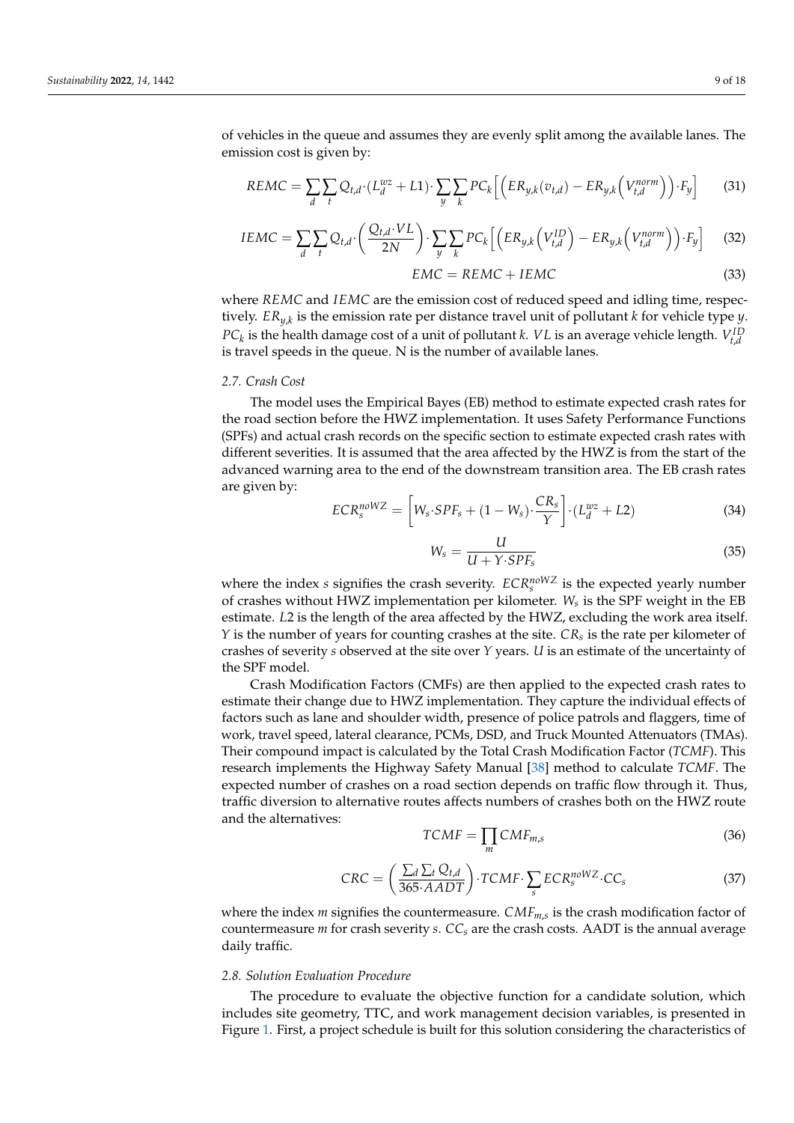$$
REMC = \sum_{d} \sum_{t} Q_{t,d} \cdot (L_d^{wz} + L1) \cdot \sum_{y} \sum_{k} PC_k \left[ \left( ER_{y,k}(v_{t,d}) - ER_{y,k} \left( V_{t,d}^{norm} \right) \right) \cdot F_y \right] \tag{31}
$$

$$
IEMC = \sum_{d} \sum_{t} Q_{t,d} \cdot \left( \frac{Q_{t,d} \cdot VL}{2N} \right) \cdot \sum_{y} \sum_{k} PC_k \left[ \left( ER_{y,k} \left( V_{t,d}^{ID} \right) - ER_{y,k} \left( V_{t,d}^{norm} \right) \right) \cdot F_y \right] \tag{32}
$$

$$
EMC = REMC + IEMC \tag{33}
$$

where *REMC* and *IEMC* are the emission cost of reduced speed and idling time, respectively. *ERy*,*<sup>k</sup>* is the emission rate per distance travel unit of pollutant *k* for vehicle type *y*. *PC*<sub>*k*</sub> is the health damage cost of a unit of pollutant *k*. *VL* is an average vehicle length.  $V_{t,d}^{ID}$ is travel speeds in the queue. N is the number of available lanes.

#### *2.7. Crash Cost*

The model uses the Empirical Bayes (EB) method to estimate expected crash rates for the road section before the HWZ implementation. It uses Safety Performance Functions (SPFs) and actual crash records on the specific section to estimate expected crash rates with different severities. It is assumed that the area affected by the HWZ is from the start of the advanced warning area to the end of the downstream transition area. The EB crash rates are given by:

$$
ECR_s^{nowVZ} = \left[W_s \cdot SPF_s + (1 - W_s) \cdot \frac{CR_s}{Y}\right] \cdot (L_d^{wz} + L2)
$$
\n(34)

$$
W_s = \frac{u}{U + Y \cdot SPF_s} \tag{35}
$$

where the index *s* signifies the crash severity.  $ECR_s^{noWZ}$  is the expected yearly number of crashes without HWZ implementation per kilometer. *W<sup>s</sup>* is the SPF weight in the EB estimate. *L*2 is the length of the area affected by the HWZ, excluding the work area itself. *Y* is the number of years for counting crashes at the site. *CR<sup>s</sup>* is the rate per kilometer of crashes of severity *s* observed at the site over *Y* years. *U* is an estimate of the uncertainty of the SPF model.

Crash Modification Factors (CMFs) are then applied to the expected crash rates to estimate their change due to HWZ implementation. They capture the individual effects of factors such as lane and shoulder width, presence of police patrols and flaggers, time of work, travel speed, lateral clearance, PCMs, DSD, and Truck Mounted Attenuators (TMAs). Their compound impact is calculated by the Total Crash Modification Factor (*TCMF*). This research implements the Highway Safety Manual [\[38\]](#page-17-0) method to calculate *TCMF*. The expected number of crashes on a road section depends on traffic flow through it. Thus, traffic diversion to alternative routes affects numbers of crashes both on the HWZ route and the alternatives:

$$
TCMF = \prod_{m} CMF_{m,s} \tag{36}
$$

$$
CRC = \left(\frac{\sum_{d} \sum_{t} Q_{t,d}}{365 \cdot AADT}\right) \cdot TCMF \cdot \sum_{s} ECR_{s}^{noWZ} \cdot CC_{s}
$$
\n(37)

where the index *m* signifies the countermeasure. *CMFm*,*<sup>s</sup>* is the crash modification factor of countermeasure *m* for crash severity *s*.  $CC_s$  are the crash costs. AADT is the annual average daily traffic.

#### *2.8. Solution Evaluation Procedure*

The procedure to evaluate the objective function for a candidate solution, which includes site geometry, TTC, and work management decision variables, is presented in Figure [1.](#page-9-0) First, a project schedule is built for this solution considering the characteristics of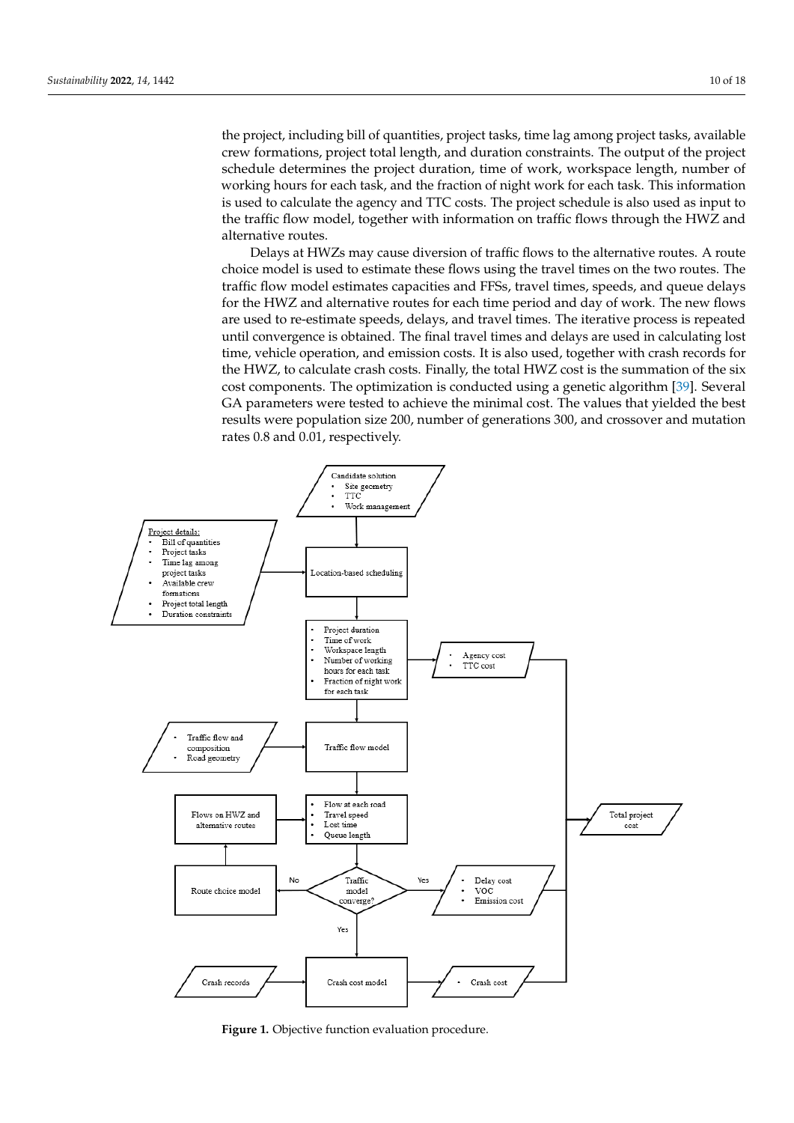the project, including bill of quantities, project tasks, time lag among project tasks, available crew formations, project total length, and duration constraints. The output of the project schedule determines the project duration, time of work, workspace length, number of working hours for each task, and the fraction of night work for each task. This information is used to calculate the agency and TTC costs. The project schedule is also used as input to the traffic flow model, together with information on traffic flows through the HWZ and alternative routes.

Delays at HWZs may cause diversion of traffic flows to the alternative routes. A route choice model is used to estimate these flows using the travel times on the two routes. The traffic flow model estimates capacities and FFSs, travel times, speeds, and queue delays for the HWZ and alternative routes for each time period and day of work. The new flows are used to re-estimate speeds, delays, and travel times. The iterative process is repeated until convergence is obtained. The final travel times and delays are used in calculating lost time, vehicle operation, and emission costs. It is also used, together with crash records for the HWZ, to calculate crash costs. Finally, the total HWZ cost is the summation of the six cost components. The optimization is conducted using a genetic algorithm [\[39\]](#page-17-1). Several GA parameters were tested to achieve the minimal cost. The values that yielded the best results were population size 200, number of generations 300, and crossover and mutation rates 0.8 and 0.01, respectively.

<span id="page-9-0"></span>

**Figure 1.** Objective function evaluation procedure. **Figure 1.** Objective function evaluation procedure.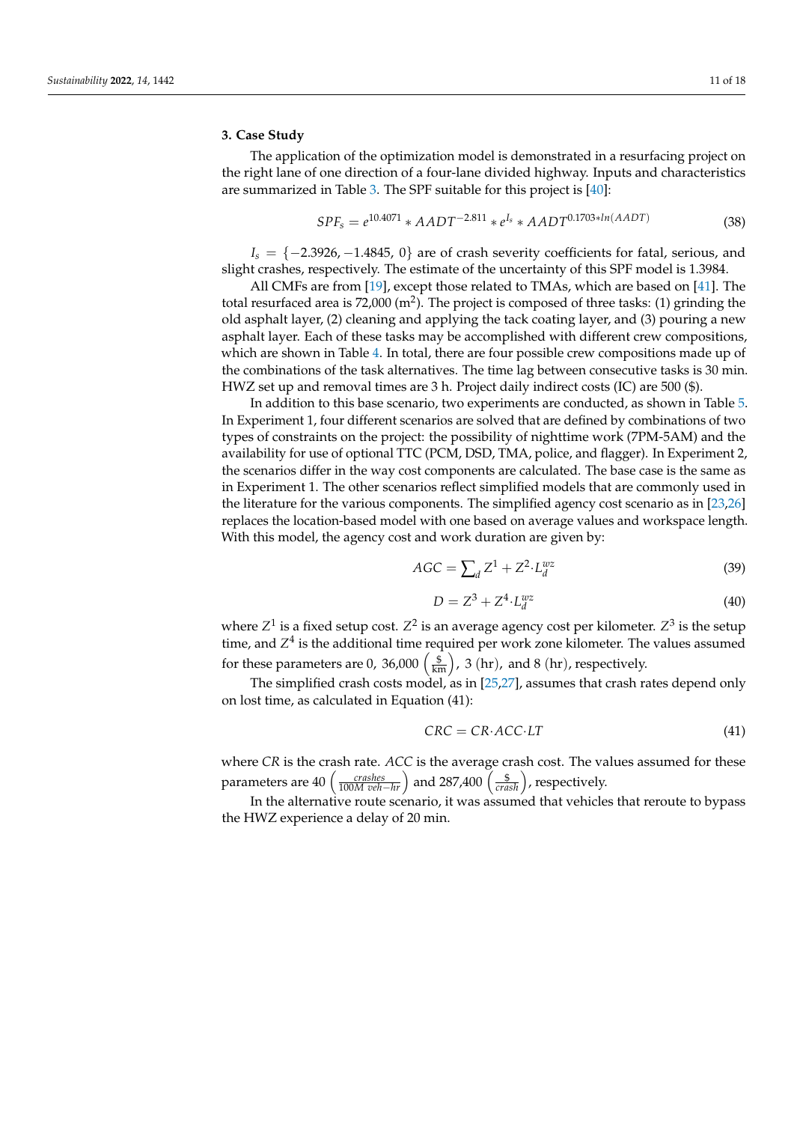#### **3. Case Study**

The application of the optimization model is demonstrated in a resurfacing project on the right lane of one direction of a four-lane divided highway. Inputs and characteristics are summarized in Table [3.](#page-11-0) The SPF suitable for this project is [\[40\]](#page-17-2):

$$
SPF_s = e^{10.4071} * AADT^{-2.811} * e^{I_s} * AADT^{0.1703 * ln(AADT)}
$$
\n(38)

 $I_s = \{-2.3926, -1.4845, 0\}$  are of crash severity coefficients for fatal, serious, and slight crashes, respectively. The estimate of the uncertainty of this SPF model is 1.3984.

All CMFs are from [\[19\]](#page-16-10), except those related to TMAs, which are based on [\[41\]](#page-17-3). The total resurfaced area is 72,000 (m<sup>2</sup>). The project is composed of three tasks: (1) grinding the old asphalt layer, (2) cleaning and applying the tack coating layer, and (3) pouring a new asphalt layer. Each of these tasks may be accomplished with different crew compositions, which are shown in Table [4.](#page-11-1) In total, there are four possible crew compositions made up of the combinations of the task alternatives. The time lag between consecutive tasks is 30 min. HWZ set up and removal times are 3 h. Project daily indirect costs (IC) are 500 (\$).

In addition to this base scenario, two experiments are conducted, as shown in Table [5.](#page-12-0) In Experiment 1, four different scenarios are solved that are defined by combinations of two types of constraints on the project: the possibility of nighttime work (7PM-5AM) and the availability for use of optional TTC (PCM, DSD, TMA, police, and flagger). In Experiment 2, the scenarios differ in the way cost components are calculated. The base case is the same as in Experiment 1. The other scenarios reflect simplified models that are commonly used in the literature for the various components. The simplified agency cost scenario as in [\[23,](#page-16-14)[26\]](#page-16-17) replaces the location-based model with one based on average values and workspace length. With this model, the agency cost and work duration are given by:

$$
AGC = \sum_{d} Z^1 + Z^2 \cdot L_d^{wz} \tag{39}
$$

$$
D = Z^3 + Z^4 \cdot L_d^{wz} \tag{40}
$$

where  $Z^1$  is a fixed setup cost.  $Z^2$  is an average agency cost per kilometer.  $Z^3$  is the setup time, and  $Z^4$  is the additional time required per work zone kilometer. The values assumed for these parameters are 0, 36,000  $\left(\frac{\$}{\text{km}}\right)$ , 3 (hr), and 8 (hr), respectively.

The simplified crash costs model, as in [\[25,](#page-16-16)[27\]](#page-16-18), assumes that crash rates depend only on lost time, as calculated in Equation (41):

$$
CRC = CR \cdot ACC \cdot LT \tag{41}
$$

where *CR* is the crash rate. *ACC* is the average crash cost. The values assumed for these parameters are  $40 \left( \frac{crashes}{100M \ veh-hr} \right)$  and 287,400  $\left( \frac{\$}{crash} \right)$ , respectively.

In the alternative route scenario, it was assumed that vehicles that reroute to bypass the HWZ experience a delay of 20 min.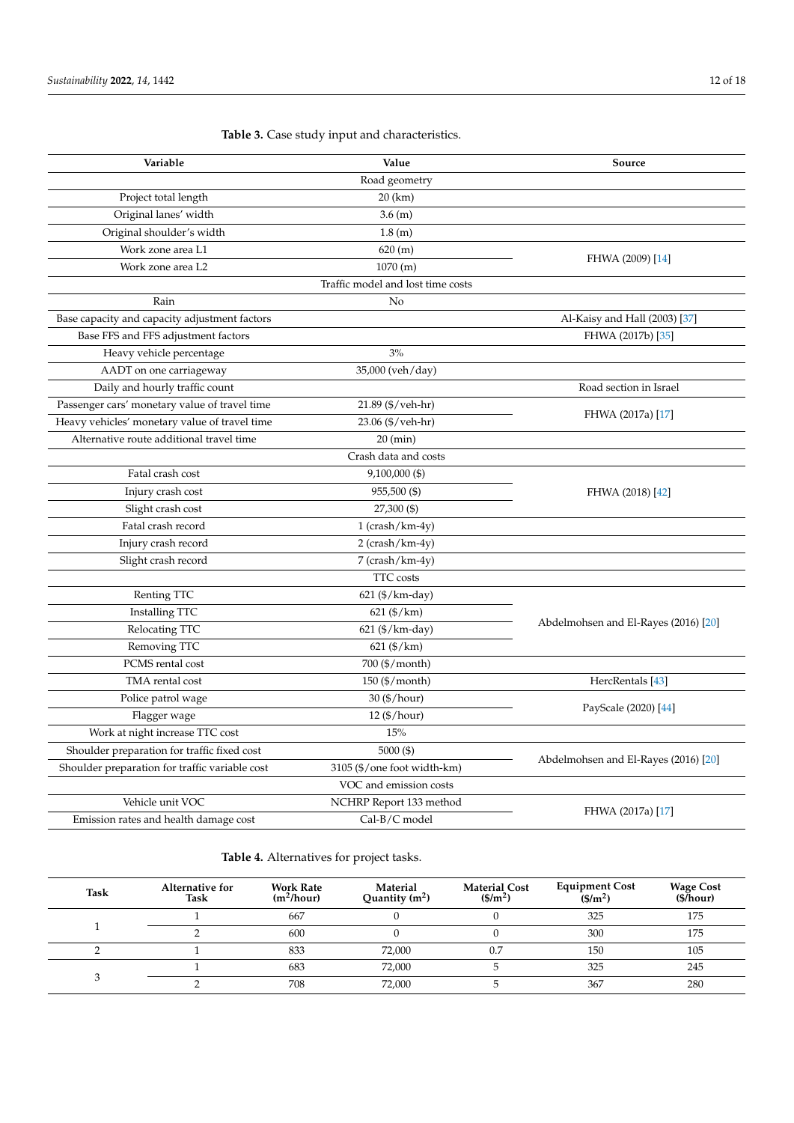| Variable                                                    | Value                             | Source                               |  |
|-------------------------------------------------------------|-----------------------------------|--------------------------------------|--|
|                                                             | Road geometry                     |                                      |  |
| Project total length                                        | 20 (km)                           |                                      |  |
| Original lanes' width                                       | 3.6 (m)                           |                                      |  |
| Original shoulder's width                                   | 1.8(m)                            |                                      |  |
| Work zone area L1                                           | 620 (m)                           |                                      |  |
| Work zone area L2                                           | 1070 (m)                          | FHWA (2009) [14]                     |  |
|                                                             | Traffic model and lost time costs |                                      |  |
| Rain                                                        | No                                |                                      |  |
| Base capacity and capacity adjustment factors               |                                   | Al-Kaisy and Hall (2003) [37]        |  |
| Base FFS and FFS adjustment factors                         |                                   | FHWA (2017b) [35]                    |  |
| Heavy vehicle percentage                                    | 3%                                |                                      |  |
| AADT on one carriageway                                     | 35,000 (veh/day)                  |                                      |  |
| Daily and hourly traffic count                              |                                   | Road section in Israel               |  |
| Passenger cars' monetary value of travel time               | 21.89 (\$/veh-hr)                 |                                      |  |
| Heavy vehicles' monetary value of travel time               | 23.06 (\$/veh-hr)                 | FHWA (2017a) [17]                    |  |
| Alternative route additional travel time                    | $20 \text{ (min)}$                |                                      |  |
|                                                             | Crash data and costs              |                                      |  |
| Fatal crash cost                                            | 9,100,000 (\$)                    |                                      |  |
| Injury crash cost                                           | 955,500 (\$)                      | FHWA (2018) [42]                     |  |
| Slight crash cost                                           | 27,300 (\$)                       |                                      |  |
| Fatal crash record                                          | $1$ (crash/km-4y)                 |                                      |  |
| Injury crash record                                         | $2$ (crash/km-4y)                 |                                      |  |
| Slight crash record                                         | 7 (crash/km-4y)                   |                                      |  |
|                                                             | TTC costs                         |                                      |  |
| Renting TTC                                                 | 621 (\$/km-day)                   |                                      |  |
| <b>Installing TTC</b>                                       | $621$ (\$/km)                     |                                      |  |
| Relocating TTC                                              | 621 (\$/km-day)                   | Abdelmohsen and El-Rayes (2016) [20] |  |
| Removing TTC                                                | 621 (\$/km)                       |                                      |  |
| PCMS rental cost                                            | 700 (\$/month)                    |                                      |  |
| TMA rental cost                                             | 150 (\$/month)                    | HercRentals [43]                     |  |
| Police patrol wage                                          | 30 (1) / hour                     |                                      |  |
| Flagger wage                                                | 12 (\$/hour)                      | PayScale (2020) [44]                 |  |
| Work at night increase TTC cost                             | 15%                               |                                      |  |
| Shoulder preparation for traffic fixed cost<br>5000 $($ \$) |                                   |                                      |  |
| Shoulder preparation for traffic variable cost              | 3105 (\$/one foot width-km)       | Abdelmohsen and El-Rayes (2016) [20] |  |
|                                                             | VOC and emission costs            |                                      |  |
| Vehicle unit VOC                                            | NCHRP Report 133 method           |                                      |  |
| Cal-B/C model<br>Emission rates and health damage cost      |                                   | FHWA (2017a) [17]                    |  |

<span id="page-11-0"></span>**Table 3.** Case study input and characteristics.

<span id="page-11-1"></span>**Table 4.** Alternatives for project tasks.

| <b>Task</b> | Alternative for<br>Task | <b>Work Rate</b><br>$(m^2/hour)$ | Material<br>Quantity $(m^2)$ | <b>Material Cost</b><br>$($/m^2)$ | <b>Equipment Cost</b><br>$(S/m^2)$ | <b>Wage Cost</b><br>(S/hour) |
|-------------|-------------------------|----------------------------------|------------------------------|-----------------------------------|------------------------------------|------------------------------|
|             |                         | 667                              |                              |                                   | 325                                | 175                          |
|             |                         | 600                              |                              |                                   | 300                                | 175                          |
|             |                         | 833                              | 72,000                       | 0.7                               | 150                                | 105                          |
|             |                         | 683                              | 72,000                       |                                   | 325                                | 245                          |
|             |                         | 708                              | 72,000                       |                                   | 367                                | 280                          |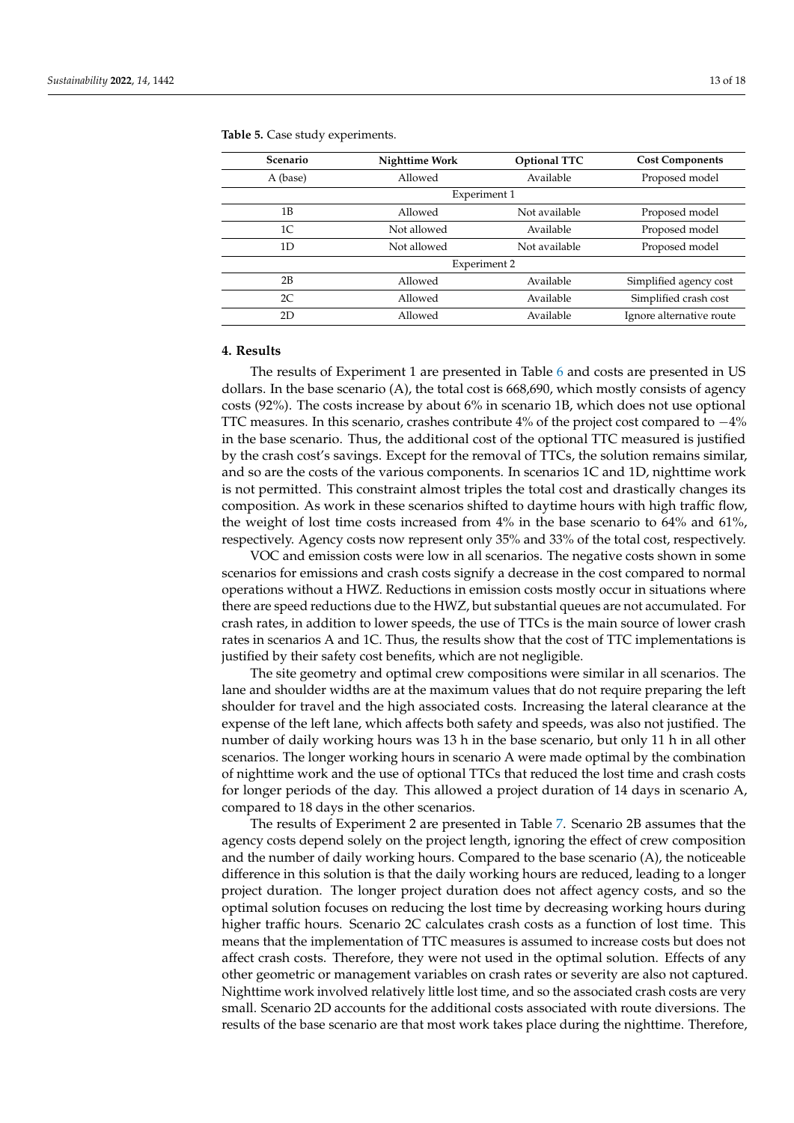| <b>Scenario</b> | <b>Nighttime Work</b> | <b>Optional TTC</b> | <b>Cost Components</b>   |
|-----------------|-----------------------|---------------------|--------------------------|
| A (base)        | Allowed               | Available           | Proposed model           |
|                 | Experiment 1          |                     |                          |
| 1B              | Allowed               | Not available       | Proposed model           |
| 1C              | Not allowed           | Available           | Proposed model           |
| 1D              | Not allowed           | Not available       | Proposed model           |
|                 | Experiment 2          |                     |                          |
| 2B              | Allowed               | Available           | Simplified agency cost   |
| 2C              | Allowed               | Available           | Simplified crash cost    |
| 2D              | Allowed               | Available           | Ignore alternative route |

<span id="page-12-0"></span>**Table 5.** Case study experiments.

### **4. Results**

The results of Experiment 1 are presented in Table [6](#page-13-0) and costs are presented in US dollars. In the base scenario (A), the total cost is 668,690, which mostly consists of agency costs (92%). The costs increase by about 6% in scenario 1B, which does not use optional TTC measures. In this scenario, crashes contribute 4% of the project cost compared to −4% in the base scenario. Thus, the additional cost of the optional TTC measured is justified by the crash cost's savings. Except for the removal of TTCs, the solution remains similar, and so are the costs of the various components. In scenarios 1C and 1D, nighttime work is not permitted. This constraint almost triples the total cost and drastically changes its composition. As work in these scenarios shifted to daytime hours with high traffic flow, the weight of lost time costs increased from 4% in the base scenario to 64% and 61%, respectively. Agency costs now represent only 35% and 33% of the total cost, respectively.

VOC and emission costs were low in all scenarios. The negative costs shown in some scenarios for emissions and crash costs signify a decrease in the cost compared to normal operations without a HWZ. Reductions in emission costs mostly occur in situations where there are speed reductions due to the HWZ, but substantial queues are not accumulated. For crash rates, in addition to lower speeds, the use of TTCs is the main source of lower crash rates in scenarios A and 1C. Thus, the results show that the cost of TTC implementations is justified by their safety cost benefits, which are not negligible.

The site geometry and optimal crew compositions were similar in all scenarios. The lane and shoulder widths are at the maximum values that do not require preparing the left shoulder for travel and the high associated costs. Increasing the lateral clearance at the expense of the left lane, which affects both safety and speeds, was also not justified. The number of daily working hours was 13 h in the base scenario, but only 11 h in all other scenarios. The longer working hours in scenario A were made optimal by the combination of nighttime work and the use of optional TTCs that reduced the lost time and crash costs for longer periods of the day. This allowed a project duration of 14 days in scenario A, compared to 18 days in the other scenarios.

The results of Experiment 2 are presented in Table [7.](#page-14-0) Scenario 2B assumes that the agency costs depend solely on the project length, ignoring the effect of crew composition and the number of daily working hours. Compared to the base scenario (A), the noticeable difference in this solution is that the daily working hours are reduced, leading to a longer project duration. The longer project duration does not affect agency costs, and so the optimal solution focuses on reducing the lost time by decreasing working hours during higher traffic hours. Scenario 2C calculates crash costs as a function of lost time. This means that the implementation of TTC measures is assumed to increase costs but does not affect crash costs. Therefore, they were not used in the optimal solution. Effects of any other geometric or management variables on crash rates or severity are also not captured. Nighttime work involved relatively little lost time, and so the associated crash costs are very small. Scenario 2D accounts for the additional costs associated with route diversions. The results of the base scenario are that most work takes place during the nighttime. Therefore,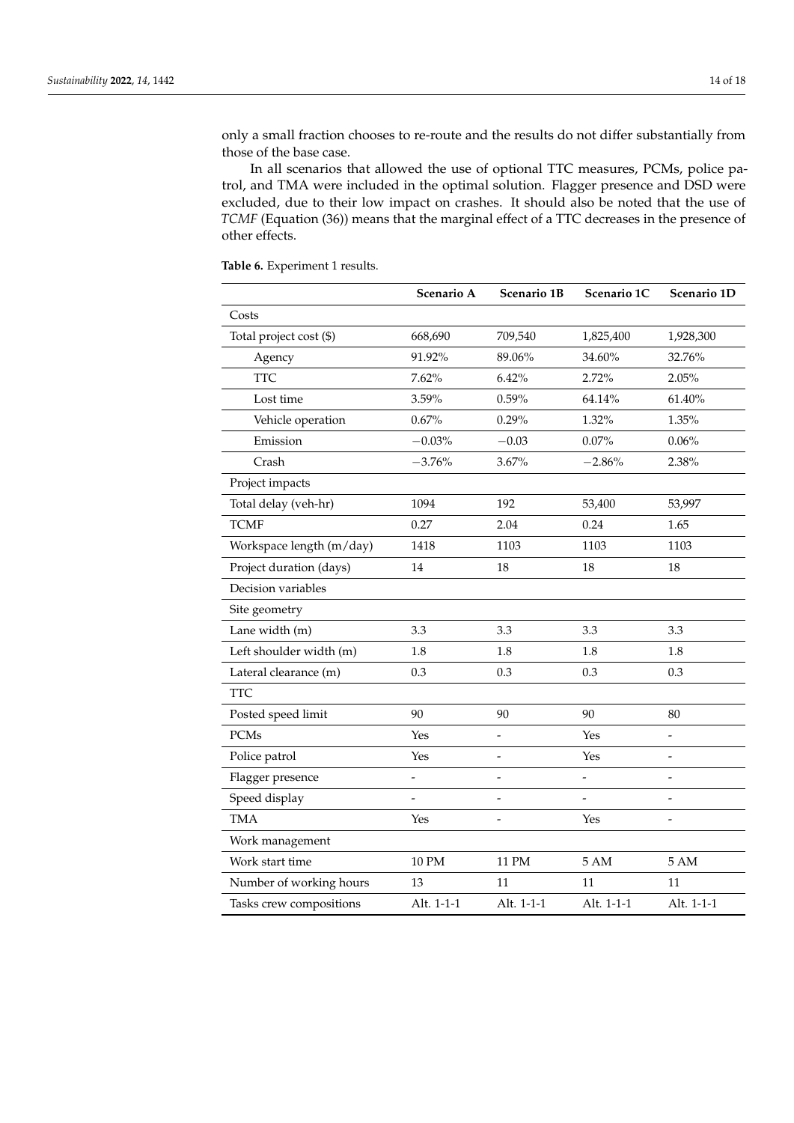only a small fraction chooses to re-route and the results do not differ substantially from those of the base case.

In all scenarios that allowed the use of optional TTC measures, PCMs, police patrol, and TMA were included in the optimal solution. Flagger presence and DSD were excluded, due to their low impact on crashes. It should also be noted that the use of *TCMF* (Equation (36)) means that the marginal effect of a TTC decreases in the presence of other effects.

|                          | Scenario A               | Scenario 1B    | Scenario 1C      | Scenario 1D              |
|--------------------------|--------------------------|----------------|------------------|--------------------------|
| Costs                    |                          |                |                  |                          |
| Total project cost (\$)  | 668,690                  | 709,540        | 1,825,400        | 1,928,300                |
| Agency                   | 91.92%                   | 89.06%         | 34.60%           | 32.76%                   |
| <b>TTC</b>               | 7.62%                    | 6.42%          | 2.72%            | 2.05%                    |
| Lost time                | 3.59%                    | 0.59%          | 64.14%           | 61.40%                   |
| Vehicle operation        | 0.67%                    | 0.29%          | 1.32%            | 1.35%                    |
| Emission                 | $-0.03%$                 | $-0.03$        | 0.07%            | $0.06\%$                 |
| Crash                    | $-3.76%$                 | 3.67%          | $-2.86%$         | 2.38%                    |
| Project impacts          |                          |                |                  |                          |
| Total delay (veh-hr)     | 1094                     | 192            | 53,400           | 53,997                   |
| <b>TCMF</b>              | 0.27                     | 2.04           | 0.24             | 1.65                     |
| Workspace length (m/day) | 1418                     | 1103           | 1103             | 1103                     |
| Project duration (days)  | 14                       | 18             | 18               | 18                       |
| Decision variables       |                          |                |                  |                          |
| Site geometry            |                          |                |                  |                          |
| Lane width (m)           | 3.3                      | 3.3            | 3.3              | 3.3                      |
| Left shoulder width (m)  | 1.8                      | 1.8            | 1.8              | 1.8                      |
| Lateral clearance (m)    | 0.3                      | 0.3            | 0.3              | 0.3                      |
| <b>TTC</b>               |                          |                |                  |                          |
| Posted speed limit       | 90                       | 90             | 90               | 80                       |
| <b>PCMs</b>              | Yes                      | $\overline{a}$ | Yes              |                          |
| Police patrol            | Yes                      | $\overline{a}$ | Yes              |                          |
| Flagger presence         | $\overline{\phantom{0}}$ | $\overline{a}$ | $\overline{a}$   | $\overline{\phantom{a}}$ |
| Speed display            | $\overline{a}$           | $\overline{a}$ |                  | $\overline{a}$           |
| <b>TMA</b>               | Yes                      |                | Yes              |                          |
| Work management          |                          |                |                  |                          |
| Work start time          | 10 PM                    | 11 PM          | $5\ \mathrm{AM}$ | $5AM$                    |
| Number of working hours  | 13                       | 11             | 11               | 11                       |
| Tasks crew compositions  | Alt. 1-1-1               | Alt. 1-1-1     | Alt. 1-1-1       | Alt. 1-1-1               |
|                          |                          |                |                  |                          |

<span id="page-13-0"></span>**Table 6.** Experiment 1 results.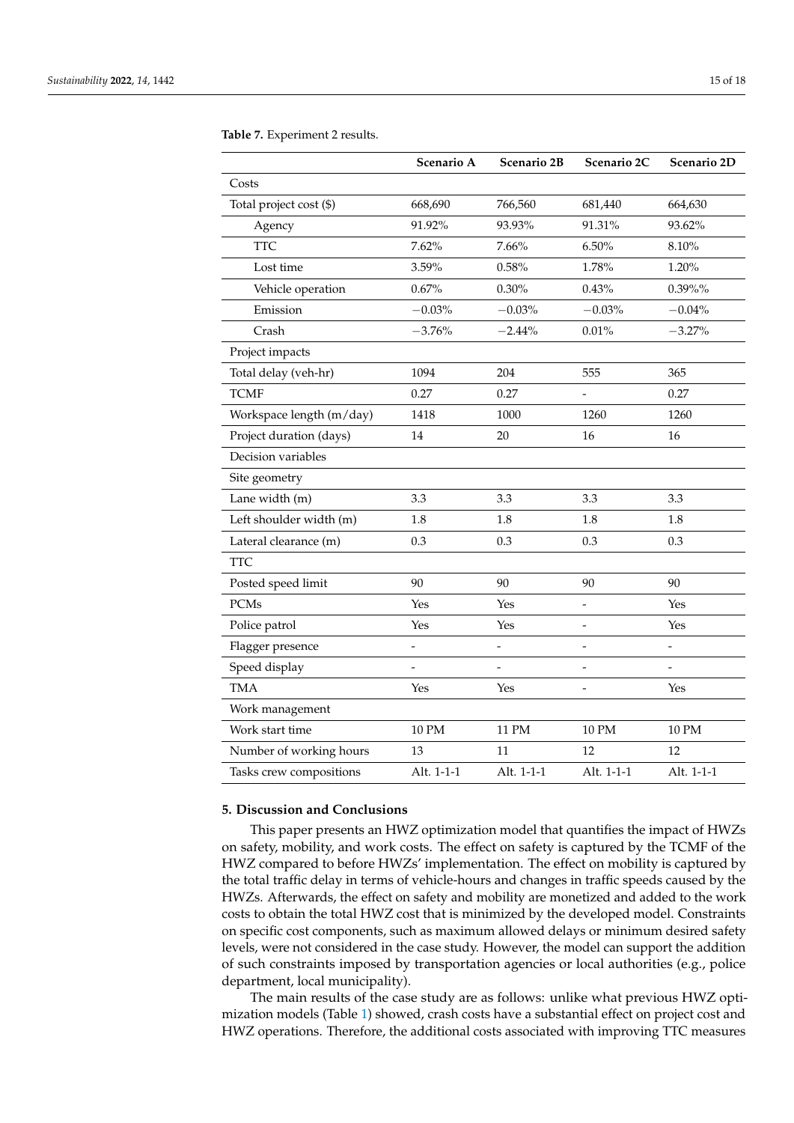|                          | Scenario A | Scenario 2B | Scenario 2C    | Scenario 2D |
|--------------------------|------------|-------------|----------------|-------------|
| Costs                    |            |             |                |             |
| Total project cost (\$)  | 668,690    | 766,560     | 681,440        | 664,630     |
| Agency                   | 91.92%     | 93.93%      | 91.31%         | 93.62%      |
| <b>TTC</b>               | 7.62%      | 7.66%       | 6.50%          | 8.10%       |
| Lost time                | 3.59%      | 0.58%       | 1.78%          | 1.20%       |
| Vehicle operation        | 0.67%      | 0.30%       | 0.43%          | $0.39\%$ %  |
| Emission                 | $-0.03%$   | $-0.03%$    | $-0.03%$       | $-0.04%$    |
| Crash                    | $-3.76%$   | $-2.44%$    | 0.01%          | $-3.27%$    |
| Project impacts          |            |             |                |             |
| Total delay (veh-hr)     | 1094       | 204         | 555            | 365         |
| <b>TCMF</b>              | 0.27       | 0.27        |                | 0.27        |
| Workspace length (m/day) | 1418       | 1000        | 1260           | 1260        |
| Project duration (days)  | 14         | 20          | 16             | 16          |
| Decision variables       |            |             |                |             |
| Site geometry            |            |             |                |             |
| Lane width (m)           | 3.3        | 3.3         | 3.3            | 3.3         |
| Left shoulder width (m)  | 1.8        | 1.8         | 1.8            | 1.8         |
| Lateral clearance (m)    | 0.3        | 0.3         | 0.3            | 0.3         |
| TTC                      |            |             |                |             |
| Posted speed limit       | 90         | 90          | 90             | 90          |
| <b>PCMs</b>              | Yes        | Yes         | $\overline{a}$ | Yes         |
| Police patrol            | Yes        | Yes         | $\overline{a}$ | Yes         |
| Flagger presence         |            |             | $\overline{a}$ |             |
| Speed display            |            |             |                |             |
| <b>TMA</b>               | Yes        | Yes         | -              | Yes         |
| Work management          |            |             |                |             |
| Work start time          | 10 PM      | 11 PM       | <b>10 PM</b>   | 10 PM       |
| Number of working hours  | 13         | 11          | 12             | 12          |
| Tasks crew compositions  | Alt. 1-1-1 | Alt. 1-1-1  | Alt. 1-1-1     | Alt. 1-1-1  |

<span id="page-14-0"></span>**Table 7.** Experiment 2 results.

# **5. Discussion and Conclusions**

This paper presents an HWZ optimization model that quantifies the impact of HWZs on safety, mobility, and work costs. The effect on safety is captured by the TCMF of the HWZ compared to before HWZs' implementation. The effect on mobility is captured by the total traffic delay in terms of vehicle-hours and changes in traffic speeds caused by the HWZs. Afterwards, the effect on safety and mobility are monetized and added to the work costs to obtain the total HWZ cost that is minimized by the developed model. Constraints on specific cost components, such as maximum allowed delays or minimum desired safety levels, were not considered in the case study. However, the model can support the addition of such constraints imposed by transportation agencies or local authorities (e.g., police department, local municipality).

The main results of the case study are as follows: unlike what previous HWZ optimization models (Table [1\)](#page-2-0) showed, crash costs have a substantial effect on project cost and HWZ operations. Therefore, the additional costs associated with improving TTC measures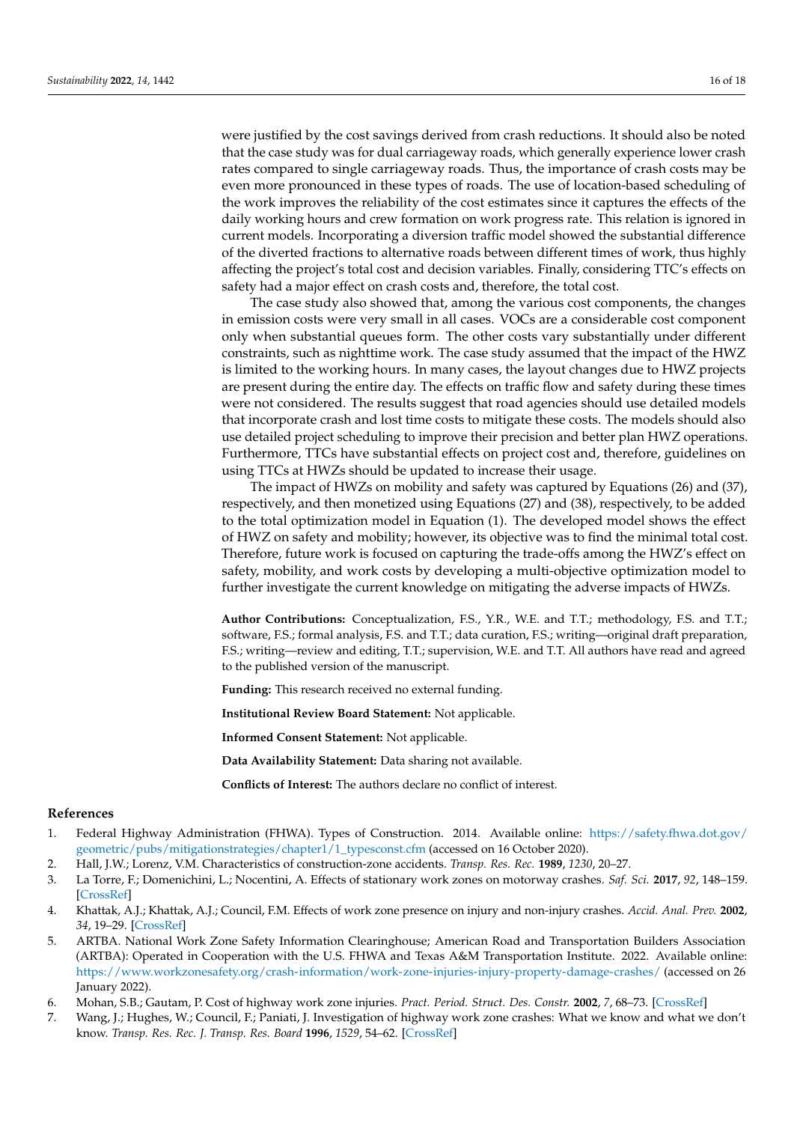were justified by the cost savings derived from crash reductions. It should also be noted that the case study was for dual carriageway roads, which generally experience lower crash rates compared to single carriageway roads. Thus, the importance of crash costs may be even more pronounced in these types of roads. The use of location-based scheduling of the work improves the reliability of the cost estimates since it captures the effects of the daily working hours and crew formation on work progress rate. This relation is ignored in current models. Incorporating a diversion traffic model showed the substantial difference of the diverted fractions to alternative roads between different times of work, thus highly affecting the project's total cost and decision variables. Finally, considering TTC's effects on safety had a major effect on crash costs and, therefore, the total cost.

The case study also showed that, among the various cost components, the changes in emission costs were very small in all cases. VOCs are a considerable cost component only when substantial queues form. The other costs vary substantially under different constraints, such as nighttime work. The case study assumed that the impact of the HWZ is limited to the working hours. In many cases, the layout changes due to HWZ projects are present during the entire day. The effects on traffic flow and safety during these times were not considered. The results suggest that road agencies should use detailed models that incorporate crash and lost time costs to mitigate these costs. The models should also use detailed project scheduling to improve their precision and better plan HWZ operations. Furthermore, TTCs have substantial effects on project cost and, therefore, guidelines on using TTCs at HWZs should be updated to increase their usage.

The impact of HWZs on mobility and safety was captured by Equations (26) and (37), respectively, and then monetized using Equations (27) and (38), respectively, to be added to the total optimization model in Equation (1). The developed model shows the effect of HWZ on safety and mobility; however, its objective was to find the minimal total cost. Therefore, future work is focused on capturing the trade-offs among the HWZ's effect on safety, mobility, and work costs by developing a multi-objective optimization model to further investigate the current knowledge on mitigating the adverse impacts of HWZs.

**Author Contributions:** Conceptualization, F.S., Y.R., W.E. and T.T.; methodology, F.S. and T.T.; software, F.S.; formal analysis, F.S. and T.T.; data curation, F.S.; writing—original draft preparation, F.S.; writing—review and editing, T.T.; supervision, W.E. and T.T. All authors have read and agreed to the published version of the manuscript.

**Funding:** This research received no external funding.

**Institutional Review Board Statement:** Not applicable.

**Informed Consent Statement:** Not applicable.

**Data Availability Statement:** Data sharing not available.

**Conflicts of Interest:** The authors declare no conflict of interest.

### **References**

- <span id="page-15-0"></span>1. Federal Highway Administration (FHWA). Types of Construction. 2014. Available online: [https://safety.fhwa.dot.gov/](https://safety.fhwa.dot.gov/geometric/pubs/mitigationstrategies/chapter1/1_typesconst.cfm) [geometric/pubs/mitigationstrategies/chapter1/1\\_typesconst.cfm](https://safety.fhwa.dot.gov/geometric/pubs/mitigationstrategies/chapter1/1_typesconst.cfm) (accessed on 16 October 2020).
- <span id="page-15-1"></span>2. Hall, J.W.; Lorenz, V.M. Characteristics of construction-zone accidents. *Transp. Res. Rec.* **1989**, *1230*, 20–27.
- 3. La Torre, F.; Domenichini, L.; Nocentini, A. Effects of stationary work zones on motorway crashes. *Saf. Sci.* **2017**, *92*, 148–159. [\[CrossRef\]](http://doi.org/10.1016/j.ssci.2016.10.008)
- <span id="page-15-2"></span>4. Khattak, A.J.; Khattak, A.J.; Council, F.M. Effects of work zone presence on injury and non-injury crashes. *Accid. Anal. Prev.* **2002**, *34*, 19–29. [\[CrossRef\]](http://doi.org/10.1016/S0001-4575(00)00099-3)
- <span id="page-15-3"></span>5. ARTBA. National Work Zone Safety Information Clearinghouse; American Road and Transportation Builders Association (ARTBA): Operated in Cooperation with the U.S. FHWA and Texas A&M Transportation Institute. 2022. Available online: <https://www.workzonesafety.org/crash-information/work-zone-injuries-injury-property-damage-crashes/> (accessed on 26 January 2022).
- <span id="page-15-4"></span>6. Mohan, S.B.; Gautam, P. Cost of highway work zone injuries. *Pract. Period. Struct. Des. Constr.* **2002**, *7*, 68–73. [\[CrossRef\]](http://doi.org/10.1061/(ASCE)1084-0680(2002)7:2(68))
- <span id="page-15-5"></span>7. Wang, J.; Hughes, W.; Council, F.; Paniati, J. Investigation of highway work zone crashes: What we know and what we don't know. *Transp. Res. Rec. J. Transp. Res. Board* **1996**, *1529*, 54–62. [\[CrossRef\]](http://doi.org/10.1177/0361198196152900107)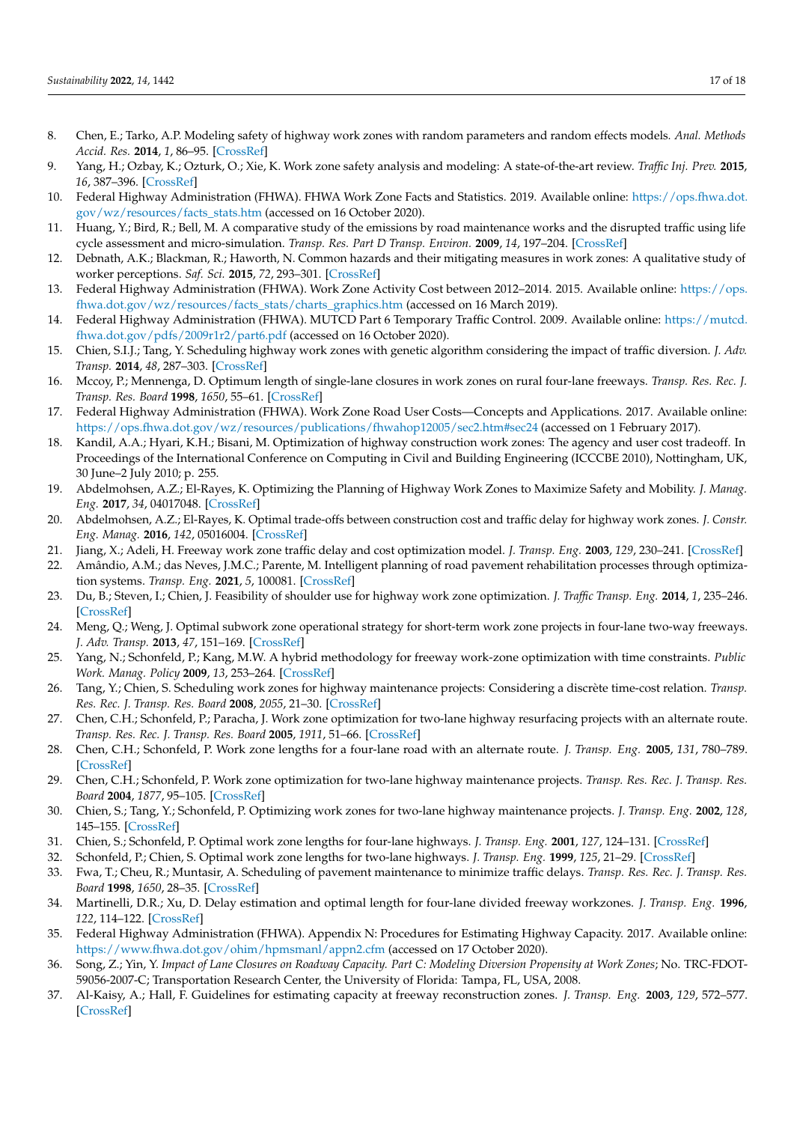- <span id="page-16-0"></span>8. Chen, E.; Tarko, A.P. Modeling safety of highway work zones with random parameters and random effects models. *Anal. Methods Accid. Res.* **2014**, *1*, 86–95. [\[CrossRef\]](http://doi.org/10.1016/j.amar.2013.10.003)
- <span id="page-16-1"></span>9. Yang, H.; Ozbay, K.; Ozturk, O.; Xie, K. Work zone safety analysis and modeling: A state-of-the-art review. *Traffic Inj. Prev.* **2015**, *16*, 387–396. [\[CrossRef\]](http://doi.org/10.1080/15389588.2014.948615)
- <span id="page-16-2"></span>10. Federal Highway Administration (FHWA). FHWA Work Zone Facts and Statistics. 2019. Available online: [https://ops.fhwa.dot.](https://ops.fhwa.dot.gov/wz/resources/facts_stats.htm) [gov/wz/resources/facts\\_stats.htm](https://ops.fhwa.dot.gov/wz/resources/facts_stats.htm) (accessed on 16 October 2020).
- <span id="page-16-3"></span>11. Huang, Y.; Bird, R.; Bell, M. A comparative study of the emissions by road maintenance works and the disrupted traffic using life cycle assessment and micro-simulation. *Transp. Res. Part D Transp. Environ.* **2009**, *14*, 197–204. [\[CrossRef\]](http://doi.org/10.1016/j.trd.2008.12.003)
- <span id="page-16-4"></span>12. Debnath, A.K.; Blackman, R.; Haworth, N. Common hazards and their mitigating measures in work zones: A qualitative study of worker perceptions. *Saf. Sci.* **2015**, *72*, 293–301. [\[CrossRef\]](http://doi.org/10.1016/j.ssci.2014.09.022)
- <span id="page-16-5"></span>13. Federal Highway Administration (FHWA). Work Zone Activity Cost between 2012–2014. 2015. Available online: [https://ops.](https://ops.fhwa.dot.gov/wz/resources/facts_stats/charts_graphics.htm) [fhwa.dot.gov/wz/resources/facts\\_stats/charts\\_graphics.htm](https://ops.fhwa.dot.gov/wz/resources/facts_stats/charts_graphics.htm) (accessed on 16 March 2019).
- <span id="page-16-6"></span>14. Federal Highway Administration (FHWA). MUTCD Part 6 Temporary Traffic Control. 2009. Available online: [https://mutcd.](https://mutcd.fhwa.dot.gov/pdfs/2009r1r2/part6.pdf) [fhwa.dot.gov/pdfs/2009r1r2/part6.pdf](https://mutcd.fhwa.dot.gov/pdfs/2009r1r2/part6.pdf) (accessed on 16 October 2020).
- <span id="page-16-7"></span>15. Chien, S.I.J.; Tang, Y. Scheduling highway work zones with genetic algorithm considering the impact of traffic diversion. *J. Adv. Transp.* **2014**, *48*, 287–303. [\[CrossRef\]](http://doi.org/10.1002/atr.213)
- <span id="page-16-24"></span>16. Mccoy, P.; Mennenga, D. Optimum length of single-lane closures in work zones on rural four-lane freeways. *Transp. Res. Rec. J. Transp. Res. Board* **1998**, *1650*, 55–61. [\[CrossRef\]](http://doi.org/10.3141/1650-07)
- <span id="page-16-8"></span>17. Federal Highway Administration (FHWA). Work Zone Road User Costs—Concepts and Applications. 2017. Available online: <https://ops.fhwa.dot.gov/wz/resources/publications/fhwahop12005/sec2.htm#sec24> (accessed on 1 February 2017).
- <span id="page-16-9"></span>18. Kandil, A.A.; Hyari, K.H.; Bisani, M. Optimization of highway construction work zones: The agency and user cost tradeoff. In Proceedings of the International Conference on Computing in Civil and Building Engineering (ICCCBE 2010), Nottingham, UK, 30 June–2 July 2010; p. 255.
- <span id="page-16-10"></span>19. Abdelmohsen, A.Z.; El-Rayes, K. Optimizing the Planning of Highway Work Zones to Maximize Safety and Mobility. *J. Manag. Eng.* **2017**, *34*, 04017048. [\[CrossRef\]](http://doi.org/10.1061/(ASCE)ME.1943-5479.0000570)
- <span id="page-16-11"></span>20. Abdelmohsen, A.Z.; El-Rayes, K. Optimal trade-offs between construction cost and traffic delay for highway work zones. *J. Constr. Eng. Manag.* **2016**, *142*, 05016004. [\[CrossRef\]](http://doi.org/10.1061/(ASCE)CO.1943-7862.0001132)
- <span id="page-16-12"></span>21. Jiang, X.; Adeli, H. Freeway work zone traffic delay and cost optimization model. *J. Transp. Eng.* **2003**, *129*, 230–241. [\[CrossRef\]](http://doi.org/10.1061/(ASCE)0733-947X(2003)129:3(230))
- <span id="page-16-13"></span>22. Amândio, A.M.; das Neves, J.M.C.; Parente, M. Intelligent planning of road pavement rehabilitation processes through optimization systems. *Transp. Eng.* **2021**, *5*, 100081. [\[CrossRef\]](http://doi.org/10.1016/j.treng.2021.100081)
- <span id="page-16-14"></span>23. Du, B.; Steven, I.; Chien, J. Feasibility of shoulder use for highway work zone optimization. *J. Traffic Transp. Eng.* **2014**, *1*, 235–246. [\[CrossRef\]](http://doi.org/10.1016/S2095-7564(15)30269-5)
- <span id="page-16-15"></span>24. Meng, Q.; Weng, J. Optimal subwork zone operational strategy for short-term work zone projects in four-lane two-way freeways. *J. Adv. Transp.* **2013**, *47*, 151–169. [\[CrossRef\]](http://doi.org/10.1002/atr.153)
- <span id="page-16-16"></span>25. Yang, N.; Schonfeld, P.; Kang, M.W. A hybrid methodology for freeway work-zone optimization with time constraints. *Public Work. Manag. Policy* **2009**, *13*, 253–264. [\[CrossRef\]](http://doi.org/10.1177/1087724X08322843)
- <span id="page-16-17"></span>26. Tang, Y.; Chien, S. Scheduling work zones for highway maintenance projects: Considering a discrète time-cost relation. *Transp. Res. Rec. J. Transp. Res. Board* **2008**, *2055*, 21–30. [\[CrossRef\]](http://doi.org/10.3141/2055-03)
- <span id="page-16-18"></span>27. Chen, C.H.; Schonfeld, P.; Paracha, J. Work zone optimization for two-lane highway resurfacing projects with an alternate route. *Transp. Res. Rec. J. Transp. Res. Board* **2005**, *1911*, 51–66. [\[CrossRef\]](http://doi.org/10.1177/0361198105191100106)
- <span id="page-16-19"></span>28. Chen, C.H.; Schonfeld, P. Work zone lengths for a four-lane road with an alternate route. *J. Transp. Eng.* **2005**, *131*, 780–789. [\[CrossRef\]](http://doi.org/10.1061/(ASCE)0733-947X(2005)131:10(780))
- <span id="page-16-20"></span>29. Chen, C.H.; Schonfeld, P. Work zone optimization for two-lane highway maintenance projects. *Transp. Res. Rec. J. Transp. Res. Board* **2004**, *1877*, 95–105. [\[CrossRef\]](http://doi.org/10.3141/1877-11)
- <span id="page-16-21"></span>30. Chien, S.; Tang, Y.; Schonfeld, P. Optimizing work zones for two-lane highway maintenance projects. *J. Transp. Eng.* **2002**, *128*, 145–155. [\[CrossRef\]](http://doi.org/10.1061/(ASCE)0733-947X(2002)128:2(145))
- <span id="page-16-22"></span>31. Chien, S.; Schonfeld, P. Optimal work zone lengths for four-lane highways. *J. Transp. Eng.* **2001**, *127*, 124–131. [\[CrossRef\]](http://doi.org/10.1061/(ASCE)0733-947X(2001)127:2(124))
- <span id="page-16-23"></span>32. Schonfeld, P.; Chien, S. Optimal work zone lengths for two-lane highways. *J. Transp. Eng.* **1999**, *125*, 21–29. [\[CrossRef\]](http://doi.org/10.1061/(ASCE)0733-947X(1999)125:1(21))
- <span id="page-16-25"></span>33. Fwa, T.; Cheu, R.; Muntasir, A. Scheduling of pavement maintenance to minimize traffic delays. *Transp. Res. Rec. J. Transp. Res. Board* **1998**, *1650*, 28–35. [\[CrossRef\]](http://doi.org/10.3141/1650-04)
- <span id="page-16-26"></span>34. Martinelli, D.R.; Xu, D. Delay estimation and optimal length for four-lane divided freeway workzones. *J. Transp. Eng.* **1996**, *122*, 114–122. [\[CrossRef\]](http://doi.org/10.1061/(ASCE)0733-947X(1996)122:2(114))
- <span id="page-16-27"></span>35. Federal Highway Administration (FHWA). Appendix N: Procedures for Estimating Highway Capacity. 2017. Available online: <https://www.fhwa.dot.gov/ohim/hpmsmanl/appn2.cfm> (accessed on 17 October 2020).
- <span id="page-16-28"></span>36. Song, Z.; Yin, Y. *Impact of Lane Closures on Roadway Capacity. Part C: Modeling Diversion Propensity at Work Zones*; No. TRC-FDOT-59056-2007-C; Transportation Research Center, the University of Florida: Tampa, FL, USA, 2008.
- <span id="page-16-29"></span>37. Al-Kaisy, A.; Hall, F. Guidelines for estimating capacity at freeway reconstruction zones. *J. Transp. Eng.* **2003**, *129*, 572–577. [\[CrossRef\]](http://doi.org/10.1061/(ASCE)0733-947X(2003)129:5(572))